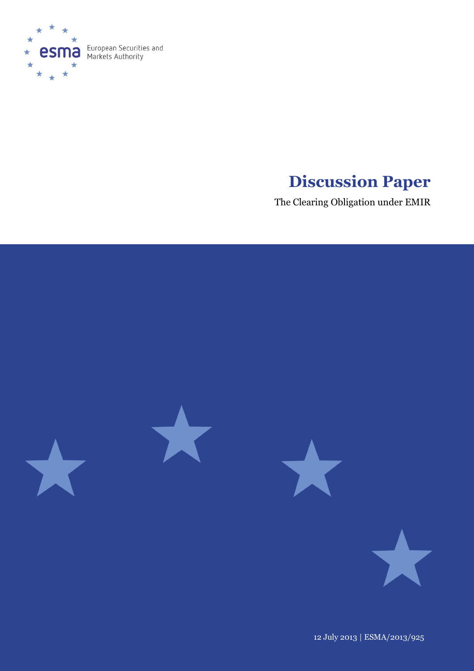

# **Discussion Paper**

The Clearing Obligation under EMIR



12 July 2013 | ESMA/2013/925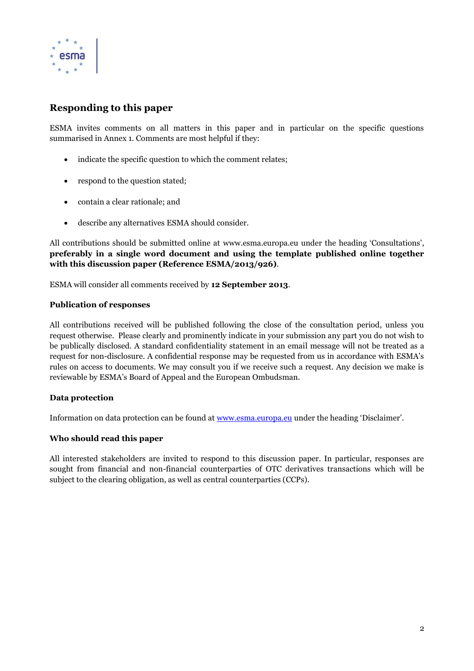

# **Responding to this paper**

ESMA invites comments on all matters in this paper and in particular on the specific questions summarised in Annex 1. Comments are most helpful if they:

- indicate the specific question to which the comment relates;
- respond to the question stated;
- contain a clear rationale; and
- describe any alternatives ESMA should consider.

All contributions should be submitted online at www.esma.europa.eu under the heading 'Consultations', **preferably in a single word document and using the template published online together with this discussion paper (Reference ESMA/2013/926)**.

ESMA will consider all comments received by **12 September 2013**.

#### **Publication of responses**

All contributions received will be published following the close of the consultation period, unless you request otherwise. Please clearly and prominently indicate in your submission any part you do not wish to be publically disclosed. A standard confidentiality statement in an email message will not be treated as a request for non-disclosure. A confidential response may be requested from us in accordance with ESMA's rules on access to documents. We may consult you if we receive such a request. Any decision we make is reviewable by ESMA's Board of Appeal and the European Ombudsman.

#### **Data protection**

Information on data protection can be found at [www.esma.europa.eu](http://www.esma.europa.eu/) under the heading 'Disclaimer'.

#### **Who should read this paper**

All interested stakeholders are invited to respond to this discussion paper. In particular, responses are sought from financial and non-financial counterparties of OTC derivatives transactions which will be subject to the clearing obligation, as well as central counterparties (CCPs).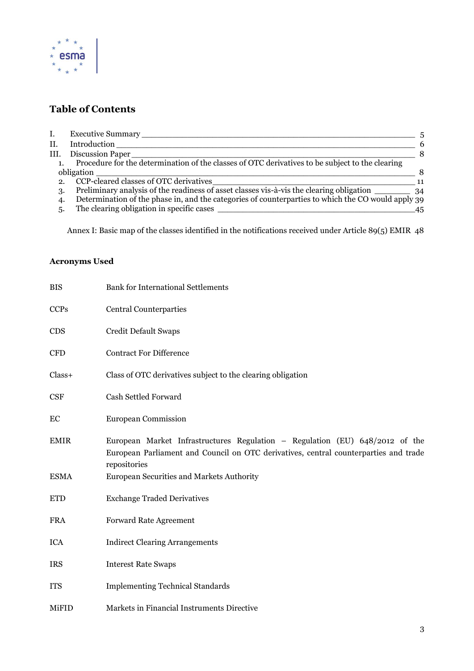

# **Table of Contents**

| Executive Summary |                                                                                                                                                                                                                                                                                                                                                                                 |
|-------------------|---------------------------------------------------------------------------------------------------------------------------------------------------------------------------------------------------------------------------------------------------------------------------------------------------------------------------------------------------------------------------------|
| Introduction      | 6                                                                                                                                                                                                                                                                                                                                                                               |
| Discussion Paper  | -8                                                                                                                                                                                                                                                                                                                                                                              |
|                   |                                                                                                                                                                                                                                                                                                                                                                                 |
|                   | 8                                                                                                                                                                                                                                                                                                                                                                               |
|                   | $-11$                                                                                                                                                                                                                                                                                                                                                                           |
|                   |                                                                                                                                                                                                                                                                                                                                                                                 |
|                   |                                                                                                                                                                                                                                                                                                                                                                                 |
|                   | 45                                                                                                                                                                                                                                                                                                                                                                              |
|                   | Procedure for the determination of the classes of OTC derivatives to be subject to the clearing<br>obligation ______<br>CCP-cleared classes of OTC derivatives<br>Preliminary analysis of the readiness of asset classes vis-à-vis the clearing obligation ___________ 34<br>Determination of the phase in, and the categories of counterparties to which the CO would apply 39 |

[Annex I: Basic map of the classes identified in the notifications received under Article 89\(5\) EMIR](#page-47-0) 48

# **Acronyms Used**

| <b>BIS</b>  | <b>Bank for International Settlements</b>                                                                                                                                            |
|-------------|--------------------------------------------------------------------------------------------------------------------------------------------------------------------------------------|
| <b>CCPs</b> | <b>Central Counterparties</b>                                                                                                                                                        |
| <b>CDS</b>  | <b>Credit Default Swaps</b>                                                                                                                                                          |
| <b>CFD</b>  | <b>Contract For Difference</b>                                                                                                                                                       |
| $Class+$    | Class of OTC derivatives subject to the clearing obligation                                                                                                                          |
| CSF         | Cash Settled Forward                                                                                                                                                                 |
| EC          | <b>European Commission</b>                                                                                                                                                           |
| <b>EMIR</b> | European Market Infrastructures Regulation – Regulation (EU) 648/2012 of the<br>European Parliament and Council on OTC derivatives, central counterparties and trade<br>repositories |
| <b>ESMA</b> | European Securities and Markets Authority                                                                                                                                            |
| <b>ETD</b>  | <b>Exchange Traded Derivatives</b>                                                                                                                                                   |
| <b>FRA</b>  | <b>Forward Rate Agreement</b>                                                                                                                                                        |
| <b>ICA</b>  | <b>Indirect Clearing Arrangements</b>                                                                                                                                                |
| <b>IRS</b>  | <b>Interest Rate Swaps</b>                                                                                                                                                           |
| <b>ITS</b>  | <b>Implementing Technical Standards</b>                                                                                                                                              |
| MiFID       | Markets in Financial Instruments Directive                                                                                                                                           |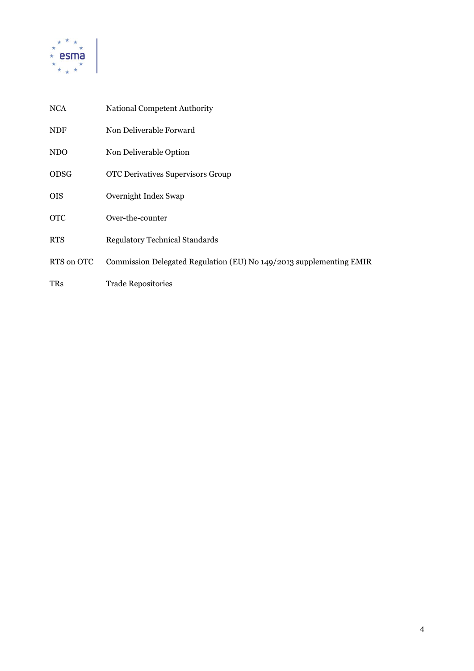

| NCA        | National Competent Authority                                        |
|------------|---------------------------------------------------------------------|
| NDF        | Non Deliverable Forward                                             |
| NDO        | Non Deliverable Option                                              |
| ODSG       | <b>OTC Derivatives Supervisors Group</b>                            |
| <b>OIS</b> | Overnight Index Swap                                                |
| <b>OTC</b> | Over-the-counter                                                    |
| <b>RTS</b> | <b>Regulatory Technical Standards</b>                               |
| RTS on OTC | Commission Delegated Regulation (EU) No 149/2013 supplementing EMIR |
| TRs        | <b>Trade Repositories</b>                                           |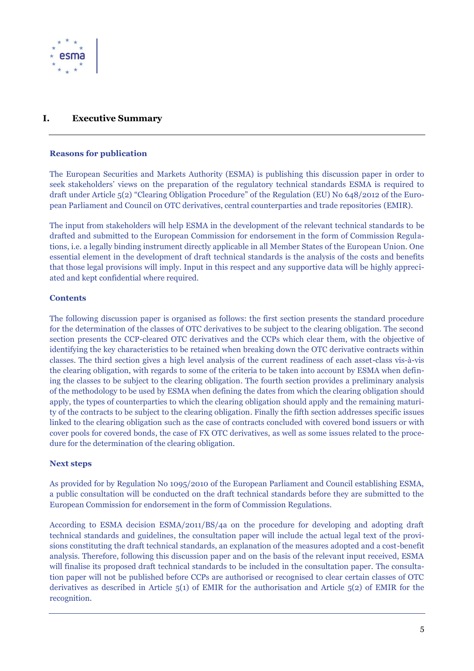

# <span id="page-4-0"></span>**I. Executive Summary**

#### **Reasons for publication**

The European Securities and Markets Authority (ESMA) is publishing this discussion paper in order to seek stakeholders' views on the preparation of the regulatory technical standards ESMA is required to draft under Article 5(2) "Clearing Obligation Procedure" of the Regulation (EU) No 648/2012 of the European Parliament and Council on OTC derivatives, central counterparties and trade repositories (EMIR).

The input from stakeholders will help ESMA in the development of the relevant technical standards to be drafted and submitted to the European Commission for endorsement in the form of Commission Regulations, i.e. a legally binding instrument directly applicable in all Member States of the European Union. One essential element in the development of draft technical standards is the analysis of the costs and benefits that those legal provisions will imply. Input in this respect and any supportive data will be highly appreciated and kept confidential where required.

## **Contents**

The following discussion paper is organised as follows: the first section presents the standard procedure for the determination of the classes of OTC derivatives to be subject to the clearing obligation. The second section presents the CCP-cleared OTC derivatives and the CCPs which clear them, with the objective of identifying the key characteristics to be retained when breaking down the OTC derivative contracts within classes. The third section gives a high level analysis of the current readiness of each asset-class vis-à-vis the clearing obligation, with regards to some of the criteria to be taken into account by ESMA when defining the classes to be subject to the clearing obligation. The fourth section provides a preliminary analysis of the methodology to be used by ESMA when defining the dates from which the clearing obligation should apply, the types of counterparties to which the clearing obligation should apply and the remaining maturity of the contracts to be subject to the clearing obligation. Finally the fifth section addresses specific issues linked to the clearing obligation such as the case of contracts concluded with covered bond issuers or with cover pools for covered bonds, the case of FX OTC derivatives, as well as some issues related to the procedure for the determination of the clearing obligation.

#### **Next steps**

As provided for by Regulation No 1095/2010 of the European Parliament and Council establishing ESMA, a public consultation will be conducted on the draft technical standards before they are submitted to the European Commission for endorsement in the form of Commission Regulations.

According to ESMA decision ESMA/2011/BS/4a on the procedure for developing and adopting draft technical standards and guidelines, the consultation paper will include the actual legal text of the provisions constituting the draft technical standards, an explanation of the measures adopted and a cost-benefit analysis. Therefore, following this discussion paper and on the basis of the relevant input received, ESMA will finalise its proposed draft technical standards to be included in the consultation paper. The consultation paper will not be published before CCPs are authorised or recognised to clear certain classes of OTC derivatives as described in Article  $5(1)$  of EMIR for the authorisation and Article  $5(2)$  of EMIR for the recognition.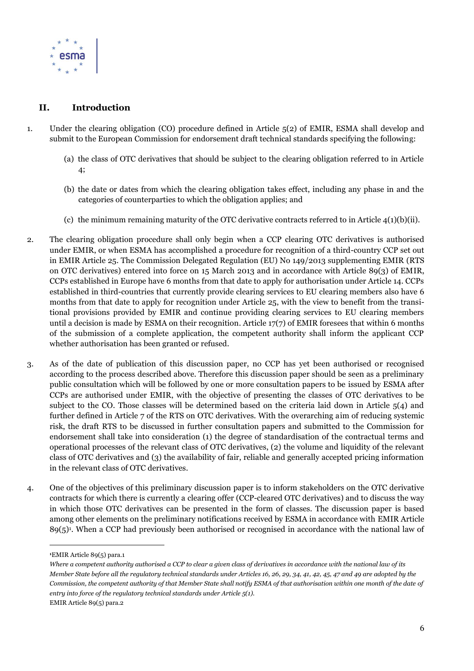

# <span id="page-5-0"></span>**II. Introduction**

- 1. Under the clearing obligation (CO) procedure defined in Article 5(2) of EMIR, ESMA shall develop and submit to the European Commission for endorsement draft technical standards specifying the following:
	- (a) the class of OTC derivatives that should be subject to the clearing obligation referred to in Article 4;
	- (b) the date or dates from which the clearing obligation takes effect, including any phase in and the categories of counterparties to which the obligation applies; and
	- (c) the minimum remaining maturity of the OTC derivative contracts referred to in Article 4(1)(b)(ii).
- 2. The clearing obligation procedure shall only begin when a CCP clearing OTC derivatives is authorised under EMIR, or when ESMA has accomplished a procedure for recognition of a third-country CCP set out in EMIR Article 25. The Commission Delegated Regulation (EU) No 149/2013 supplementing EMIR (RTS on OTC derivatives) entered into force on 15 March 2013 and in accordance with Article 89(3) of EMIR, CCPs established in Europe have 6 months from that date to apply for authorisation under Article 14. CCPs established in third-countries that currently provide clearing services to EU clearing members also have 6 months from that date to apply for recognition under Article 25, with the view to benefit from the transitional provisions provided by EMIR and continue providing clearing services to EU clearing members until a decision is made by ESMA on their recognition. Article 17(7) of EMIR foresees that within 6 months of the submission of a complete application, the competent authority shall inform the applicant CCP whether authorisation has been granted or refused.
- 3. As of the date of publication of this discussion paper, no CCP has yet been authorised or recognised according to the process described above. Therefore this discussion paper should be seen as a preliminary public consultation which will be followed by one or more consultation papers to be issued by ESMA after CCPs are authorised under EMIR, with the objective of presenting the classes of OTC derivatives to be subject to the CO. Those classes will be determined based on the criteria laid down in Article 5(4) and further defined in Article 7 of the RTS on OTC derivatives. With the overarching aim of reducing systemic risk, the draft RTS to be discussed in further consultation papers and submitted to the Commission for endorsement shall take into consideration (1) the degree of standardisation of the contractual terms and operational processes of the relevant class of OTC derivatives, (2) the volume and liquidity of the relevant class of OTC derivatives and (3) the availability of fair, reliable and generally accepted pricing information in the relevant class of OTC derivatives.
- 4. One of the objectives of this preliminary discussion paper is to inform stakeholders on the OTC derivative contracts for which there is currently a clearing offer (CCP-cleared OTC derivatives) and to discuss the way in which those OTC derivatives can be presented in the form of classes. The discussion paper is based among other elements on the preliminary notifications received by ESMA in accordance with EMIR Article  $89(5)$ <sup>1</sup>. When a CCP had previously been authorised or recognised in accordance with the national law of

 $\overline{a}$ 

**<sup>1</sup>**EMIR Article 89(5) para.1

*Where a competent authority authorised a CCP to clear a given class of derivatives in accordance with the national law of its Member State before all the regulatory technical standards under Articles 16, 26, 29, 34, 41, 42, 45, 47 and 49 are adopted by the Commission, the competent authority of that Member State shall notify ESMA of that authorisation within one month of the date of entry into force of the regulatory technical standards under Article 5(1).* EMIR Article 89(5) para.2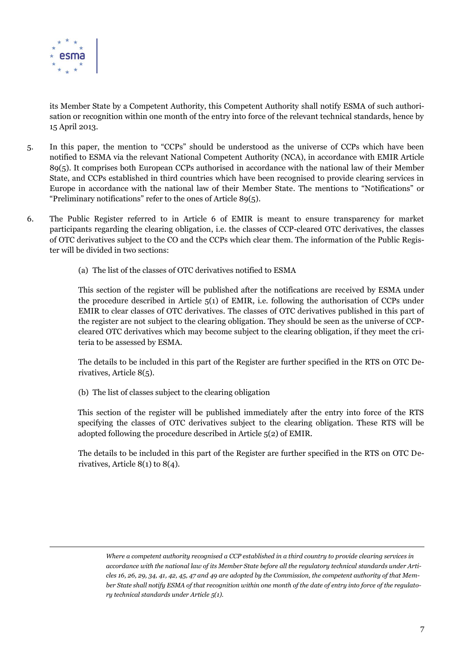

 $\overline{a}$ 

its Member State by a Competent Authority, this Competent Authority shall notify ESMA of such authorisation or recognition within one month of the entry into force of the relevant technical standards, hence by 15 April 2013.

- 5. In this paper, the mention to "CCPs" should be understood as the universe of CCPs which have been notified to ESMA via the relevant National Competent Authority (NCA), in accordance with EMIR Article 89(5). It comprises both European CCPs authorised in accordance with the national law of their Member State, and CCPs established in third countries which have been recognised to provide clearing services in Europe in accordance with the national law of their Member State. The mentions to "Notifications" or "Preliminary notifications" refer to the ones of Article 89(5).
- 6. The Public Register referred to in Article 6 of EMIR is meant to ensure transparency for market participants regarding the clearing obligation, i.e. the classes of CCP-cleared OTC derivatives, the classes of OTC derivatives subject to the CO and the CCPs which clear them. The information of the Public Register will be divided in two sections:
	- (a) The list of the classes of OTC derivatives notified to ESMA

This section of the register will be published after the notifications are received by ESMA under the procedure described in Article 5(1) of EMIR, i.e. following the authorisation of CCPs under EMIR to clear classes of OTC derivatives. The classes of OTC derivatives published in this part of the register are not subject to the clearing obligation. They should be seen as the universe of CCPcleared OTC derivatives which may become subject to the clearing obligation, if they meet the criteria to be assessed by ESMA.

The details to be included in this part of the Register are further specified in the RTS on OTC Derivatives, Article 8(5).

(b) The list of classes subject to the clearing obligation

This section of the register will be published immediately after the entry into force of the RTS specifying the classes of OTC derivatives subject to the clearing obligation. These RTS will be adopted following the procedure described in Article 5(2) of EMIR.

The details to be included in this part of the Register are further specified in the RTS on OTC Derivatives, Article 8(1) to 8(4).

*Where a competent authority recognised a CCP established in a third country to provide clearing services in accordance with the national law of its Member State before all the regulatory technical standards under Articles 16, 26, 29, 34, 41, 42, 45, 47 and 49 are adopted by the Commission, the competent authority of that Member State shall notify ESMA of that recognition within one month of the date of entry into force of the regulatory technical standards under Article 5(1).*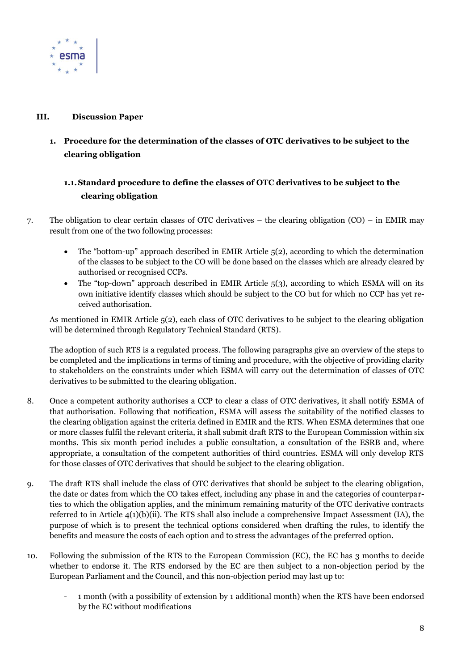

# <span id="page-7-0"></span>**III. Discussion Paper**

<span id="page-7-1"></span>**1. Procedure for the determination of the classes of OTC derivatives to be subject to the clearing obligation**

# <span id="page-7-2"></span>**1.1.Standard procedure to define the classes of OTC derivatives to be subject to the clearing obligation**

- 7. The obligation to clear certain classes of OTC derivatives the clearing obligation (CO) in EMIR may result from one of the two following processes:
	- The "bottom-up" approach described in EMIR Article  $5(2)$ , according to which the determination of the classes to be subject to the CO will be done based on the classes which are already cleared by authorised or recognised CCPs.
	- The "top-down" approach described in EMIR Article 5(3), according to which ESMA will on its own initiative identify classes which should be subject to the CO but for which no CCP has yet received authorisation.

As mentioned in EMIR Article 5(2), each class of OTC derivatives to be subject to the clearing obligation will be determined through Regulatory Technical Standard (RTS).

The adoption of such RTS is a regulated process. The following paragraphs give an overview of the steps to be completed and the implications in terms of timing and procedure, with the objective of providing clarity to stakeholders on the constraints under which ESMA will carry out the determination of classes of OTC derivatives to be submitted to the clearing obligation.

- 8. Once a competent authority authorises a CCP to clear a class of OTC derivatives, it shall notify ESMA of that authorisation. Following that notification, ESMA will assess the suitability of the notified classes to the clearing obligation against the criteria defined in EMIR and the RTS. When ESMA determines that one or more classes fulfil the relevant criteria, it shall submit draft RTS to the European Commission within six months. This six month period includes a public consultation, a consultation of the ESRB and, where appropriate, a consultation of the competent authorities of third countries. ESMA will only develop RTS for those classes of OTC derivatives that should be subject to the clearing obligation.
- 9. The draft RTS shall include the class of OTC derivatives that should be subject to the clearing obligation, the date or dates from which the CO takes effect, including any phase in and the categories of counterparties to which the obligation applies, and the minimum remaining maturity of the OTC derivative contracts referred to in Article 4(1)(b)(ii). The RTS shall also include a comprehensive Impact Assessment (IA), the purpose of which is to present the technical options considered when drafting the rules, to identify the benefits and measure the costs of each option and to stress the advantages of the preferred option.
- 10. Following the submission of the RTS to the European Commission (EC), the EC has 3 months to decide whether to endorse it. The RTS endorsed by the EC are then subject to a non-objection period by the European Parliament and the Council, and this non-objection period may last up to:
	- 1 month (with a possibility of extension by 1 additional month) when the RTS have been endorsed by the EC without modifications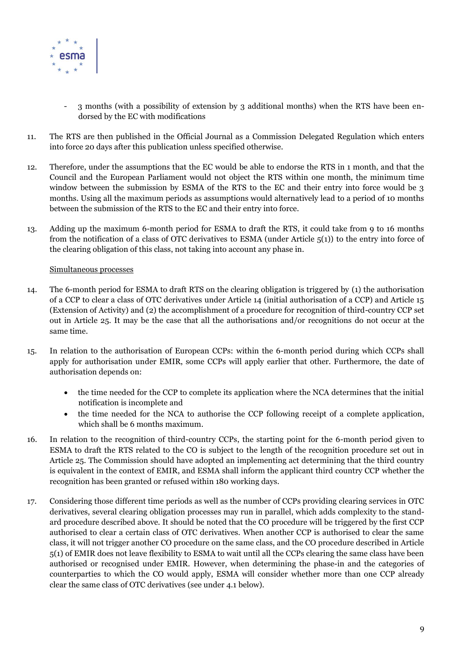

- 3 months (with a possibility of extension by 3 additional months) when the RTS have been endorsed by the EC with modifications
- 11. The RTS are then published in the Official Journal as a Commission Delegated Regulation which enters into force 20 days after this publication unless specified otherwise.
- 12. Therefore, under the assumptions that the EC would be able to endorse the RTS in 1 month, and that the Council and the European Parliament would not object the RTS within one month, the minimum time window between the submission by ESMA of the RTS to the EC and their entry into force would be 3 months. Using all the maximum periods as assumptions would alternatively lead to a period of 10 months between the submission of the RTS to the EC and their entry into force.
- 13. Adding up the maximum 6-month period for ESMA to draft the RTS, it could take from 9 to 16 months from the notification of a class of OTC derivatives to ESMA (under Article  $5(1)$ ) to the entry into force of the clearing obligation of this class, not taking into account any phase in.

#### Simultaneous processes

- 14. The 6-month period for ESMA to draft RTS on the clearing obligation is triggered by (1) the authorisation of a CCP to clear a class of OTC derivatives under Article 14 (initial authorisation of a CCP) and Article 15 (Extension of Activity) and (2) the accomplishment of a procedure for recognition of third-country CCP set out in Article 25. It may be the case that all the authorisations and/or recognitions do not occur at the same time.
- 15. In relation to the authorisation of European CCPs: within the 6-month period during which CCPs shall apply for authorisation under EMIR, some CCPs will apply earlier that other. Furthermore, the date of authorisation depends on:
	- the time needed for the CCP to complete its application where the NCA determines that the initial notification is incomplete and
	- the time needed for the NCA to authorise the CCP following receipt of a complete application, which shall be 6 months maximum.
- 16. In relation to the recognition of third-country CCPs, the starting point for the 6-month period given to ESMA to draft the RTS related to the CO is subject to the length of the recognition procedure set out in Article 25. The Commission should have adopted an implementing act determining that the third country is equivalent in the context of EMIR, and ESMA shall inform the applicant third country CCP whether the recognition has been granted or refused within 180 working days.
- 17. Considering those different time periods as well as the number of CCPs providing clearing services in OTC derivatives, several clearing obligation processes may run in parallel, which adds complexity to the standard procedure described above. It should be noted that the CO procedure will be triggered by the first CCP authorised to clear a certain class of OTC derivatives. When another CCP is authorised to clear the same class, it will not trigger another CO procedure on the same class, and the CO procedure described in Article 5(1) of EMIR does not leave flexibility to ESMA to wait until all the CCPs clearing the same class have been authorised or recognised under EMIR. However, when determining the phase-in and the categories of counterparties to which the CO would apply, ESMA will consider whether more than one CCP already clear the same class of OTC derivatives (see under 4.1 below).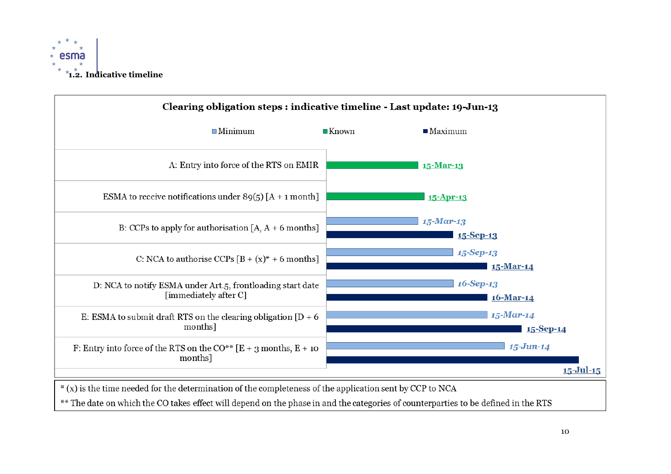

| Clearing obligation steps : indicative timeline - Last update: 19-Jun-13                    |                |                           |
|---------------------------------------------------------------------------------------------|----------------|---------------------------|
| $\blacksquare$ Minimum                                                                      | <b>□ Known</b> | $\blacksquare$ Maximum    |
| A: Entry into force of the RTS on EMIR                                                      |                | 15-Mar-13                 |
| ESMA to receive notifications under $89(5)$ [A + 1 month]                                   |                | 15-Apr-13                 |
| B: CCPs to apply for authorisation $[A, A + 6$ months]                                      |                | $15$ -Mar-13<br>15-Sep-13 |
| C: NCA to authorise CCPs $[B + (x)* + 6 \text{ months}]$                                    |                | 15-Sep-13<br>15-Mar-14    |
| D: NCA to notify ESMA under Art.5, frontloading start date<br>[immediately after C]         |                | $16$ -Sep-13<br>16-Mar-14 |
| E: ESMA to submit draft RTS on the clearing obligation $[D + 6$<br>months]                  |                | $15$ -Mar-14<br>15-Sep-14 |
| F: Entry into force of the RTS on the CO <sup>**</sup> $[E + 3$ months, $E + 10$<br>months] |                | $15$ -Jun-14              |
|                                                                                             |                | 15-Jul-15                 |

<span id="page-9-0"></span>\*\* The date on which the CO takes effect will depend on the phase in and the categories of counterparties to be defined in the RTS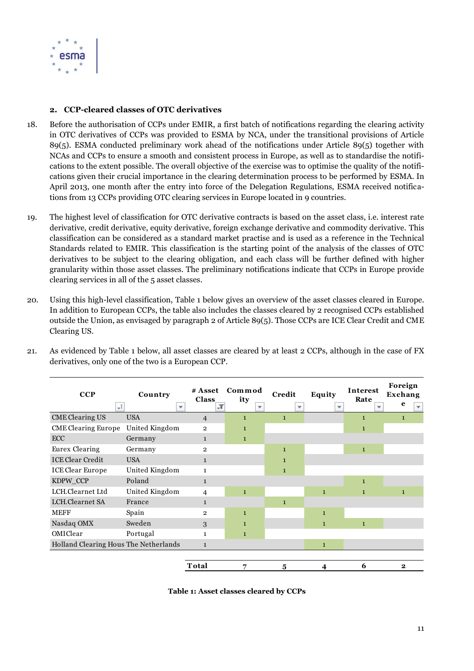

# <span id="page-10-0"></span>**2. CCP-cleared classes of OTC derivatives**

- 18. Before the authorisation of CCPs under EMIR, a first batch of notifications regarding the clearing activity in OTC derivatives of CCPs was provided to ESMA by NCA, under the transitional provisions of Article 89(5). ESMA conducted preliminary work ahead of the notifications under Article 89(5) together with NCAs and CCPs to ensure a smooth and consistent process in Europe, as well as to standardise the notifications to the extent possible. The overall objective of the exercise was to optimise the quality of the notifications given their crucial importance in the clearing determination process to be performed by ESMA. In April 2013, one month after the entry into force of the Delegation Regulations, ESMA received notifications from 13 CCPs providing OTC clearing services in Europe located in 9 countries.
- 19. The highest level of classification for OTC derivative contracts is based on the asset class, i.e. interest rate derivative, credit derivative, equity derivative, foreign exchange derivative and commodity derivative. This classification can be considered as a standard market practise and is used as a reference in the Technical Standards related to EMIR. This classification is the starting point of the analysis of the classes of OTC derivatives to be subject to the clearing obligation, and each class will be further defined with higher granularity within those asset classes. The preliminary notifications indicate that CCPs in Europe provide clearing services in all of the 5 asset classes.
- 20. Using this high-level classification, [Table 1](#page-10-1) [below](#page-10-1) gives an overview of the asset classes cleared in Europe. In addition to European CCPs, the table also includes the classes cleared by 2 recognised CCPs established outside the Union, as envisaged by paragraph 2 of Article 89(5). Those CCPs are ICE Clear Credit and CME Clearing US.

| CCP                                   | Country        | # Asset<br>Class | Commod<br>ity            | Credit       | Equity       | Interest<br>Rate         | Foreign<br>Exchang            |
|---------------------------------------|----------------|------------------|--------------------------|--------------|--------------|--------------------------|-------------------------------|
| ÷Î                                    | ▼              | $\mathbf{F}$     | $\overline{\phantom{a}}$ | ▼            |              | $\overline{\phantom{a}}$ | e<br>$\overline{\phantom{a}}$ |
| <b>CME</b> Clearing US                | <b>USA</b>     | $\overline{4}$   | $\mathbf{1}$             | $\mathbf{1}$ |              | $\mathbf{1}$             | $\mathbf{1}$                  |
| <b>CME Clearing Europe</b>            | United Kingdom | $\overline{2}$   | 1                        |              |              | $\mathbf{1}$             |                               |
| ECC                                   | Germany        | $\mathbf{1}$     | $\mathbf{1}$             |              |              |                          |                               |
| Eurex Clearing                        | Germany        | $\overline{2}$   |                          | $\mathbf{1}$ |              | $\mathbf{1}$             |                               |
| <b>ICE Clear Credit</b>               | <b>USA</b>     | $\mathbf{1}$     |                          | $\mathbf{1}$ |              |                          |                               |
| <b>ICE Clear Europe</b>               | United Kingdom | $\mathbf{1}$     |                          | $\mathbf{1}$ |              |                          |                               |
| KDPW CCP                              | Poland         | $\mathbf{1}$     |                          |              |              | $\mathbf{1}$             |                               |
| LCH.Clearnet Ltd                      | United Kingdom | 4                | $\mathbf{1}$             |              | $\mathbf{1}$ | $\mathbf{1}$             | $\mathbf{1}$                  |
| LCH.Clearnet SA                       | France         | $\mathbf{1}$     |                          | $\mathbf{1}$ |              |                          |                               |
| <b>MEFF</b>                           | Spain          | 2                | $\mathbf{1}$             |              | $\mathbf{1}$ |                          |                               |
| Nasdaq OMX                            | Sweden         | 3                | $\mathbf{1}$             |              | $\mathbf{1}$ | $\mathbf{1}$             |                               |
| OMIClear                              | Portugal       | $\mathbf{1}$     | $\mathbf{1}$             |              |              |                          |                               |
| Holland Clearing Hous The Netherlands |                | $\mathbf{1}$     |                          |              | $\mathbf{1}$ |                          |                               |
|                                       |                |                  |                          |              |              |                          |                               |
|                                       |                | Total            | 7                        | 5            | 4            | 6                        | $\mathbf 2$                   |

21. As evidenced by [Table 1](#page-10-1) [below,](#page-10-1) all asset classes are cleared by at least 2 CCPs, although in the case of FX derivatives, only one of the two is a European CCP.

<span id="page-10-1"></span>**Table 1: Asset classes cleared by CCPs**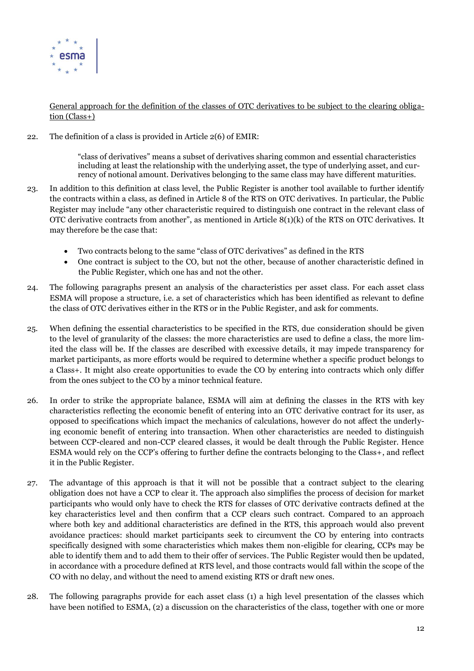

#### General approach for the definition of the classes of OTC derivatives to be subject to the clearing obligation (Class+)

22. The definition of a class is provided in Article 2(6) of EMIR:

"class of derivatives" means a subset of derivatives sharing common and essential characteristics including at least the relationship with the underlying asset, the type of underlying asset, and currency of notional amount. Derivatives belonging to the same class may have different maturities.

- 23. In addition to this definition at class level, the Public Register is another tool available to further identify the contracts within a class, as defined in Article 8 of the RTS on OTC derivatives. In particular, the Public Register may include "any other characteristic required to distinguish one contract in the relevant class of OTC derivative contracts from another", as mentioned in Article 8(1)(k) of the RTS on OTC derivatives. It may therefore be the case that:
	- Two contracts belong to the same "class of OTC derivatives" as defined in the RTS
	- One contract is subject to the CO, but not the other, because of another characteristic defined in the Public Register, which one has and not the other.
- 24. The following paragraphs present an analysis of the characteristics per asset class. For each asset class ESMA will propose a structure, i.e. a set of characteristics which has been identified as relevant to define the class of OTC derivatives either in the RTS or in the Public Register, and ask for comments.
- 25. When defining the essential characteristics to be specified in the RTS, due consideration should be given to the level of granularity of the classes: the more characteristics are used to define a class, the more limited the class will be. If the classes are described with excessive details, it may impede transparency for market participants, as more efforts would be required to determine whether a specific product belongs to a Class+. It might also create opportunities to evade the CO by entering into contracts which only differ from the ones subject to the CO by a minor technical feature.
- 26. In order to strike the appropriate balance, ESMA will aim at defining the classes in the RTS with key characteristics reflecting the economic benefit of entering into an OTC derivative contract for its user, as opposed to specifications which impact the mechanics of calculations, however do not affect the underlying economic benefit of entering into transaction. When other characteristics are needed to distinguish between CCP-cleared and non-CCP cleared classes, it would be dealt through the Public Register. Hence ESMA would rely on the CCP's offering to further define the contracts belonging to the Class+, and reflect it in the Public Register.
- 27. The advantage of this approach is that it will not be possible that a contract subject to the clearing obligation does not have a CCP to clear it. The approach also simplifies the process of decision for market participants who would only have to check the RTS for classes of OTC derivative contracts defined at the key characteristics level and then confirm that a CCP clears such contract. Compared to an approach where both key and additional characteristics are defined in the RTS, this approach would also prevent avoidance practices: should market participants seek to circumvent the CO by entering into contracts specifically designed with some characteristics which makes them non-eligible for clearing, CCPs may be able to identify them and to add them to their offer of services. The Public Register would then be updated, in accordance with a procedure defined at RTS level, and those contracts would fall within the scope of the CO with no delay, and without the need to amend existing RTS or draft new ones.
- 28. The following paragraphs provide for each asset class (1) a high level presentation of the classes which have been notified to ESMA, (2) a discussion on the characteristics of the class, together with one or more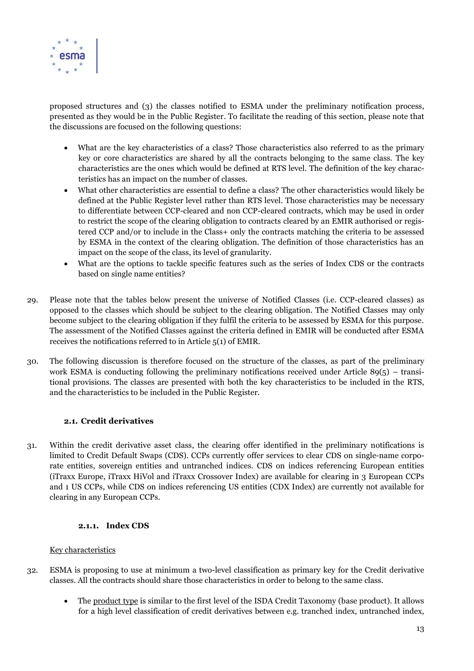

proposed structures and (3) the classes notified to ESMA under the preliminary notification process, presented as they would be in the Public Register. To facilitate the reading of this section, please note that the discussions are focused on the following questions:

- What are the key characteristics of a class? Those characteristics also referred to as the primary key or core characteristics are shared by all the contracts belonging to the same class. The key characteristics are the ones which would be defined at RTS level. The definition of the key characteristics has an impact on the number of classes.
- What other characteristics are essential to define a class? The other characteristics would likely be defined at the Public Register level rather than RTS level. Those characteristics may be necessary to differentiate between CCP-cleared and non CCP-cleared contracts, which may be used in order to restrict the scope of the clearing obligation to contracts cleared by an EMIR authorised or registered CCP and/or to include in the Class+ only the contracts matching the criteria to be assessed by ESMA in the context of the clearing obligation. The definition of those characteristics has an impact on the scope of the class, its level of granularity.
- What are the options to tackle specific features such as the series of Index CDS or the contracts based on single name entities?
- 29. Please note that the tables below present the universe of Notified Classes (i.e. CCP-cleared classes) as opposed to the classes which should be subject to the clearing obligation. The Notified Classes may only become subject to the clearing obligation if they fulfil the criteria to be assessed by ESMA for this purpose. The assessment of the Notified Classes against the criteria defined in EMIR will be conducted after ESMA receives the notifications referred to in Article 5(1) of EMIR.
- 30. The following discussion is therefore focused on the structure of the classes, as part of the preliminary work ESMA is conducting following the preliminary notifications received under Article  $89(5)$  – transitional provisions. The classes are presented with both the key characteristics to be included in the RTS, and the characteristics to be included in the Public Register.

# **2.1. Credit derivatives**

31. Within the credit derivative asset class, the clearing offer identified in the preliminary notifications is limited to Credit Default Swaps (CDS). CCPs currently offer services to clear CDS on single-name corporate entities, sovereign entities and untranched indices. CDS on indices referencing European entities (iTraxx Europe, iTraxx HiVol and iTraxx Crossover Index) are available for clearing in 3 European CCPs and 1 US CCPs, while CDS on indices referencing US entities (CDX Index) are currently not available for clearing in any European CCPs.

#### **2.1.1. Index CDS**

#### <span id="page-12-0"></span>Key characteristics

- 32. ESMA is proposing to use at minimum a two-level classification as primary key for the Credit derivative classes. All the contracts should share those characteristics in order to belong to the same class.
	- The product type is similar to the first level of the ISDA Credit Taxonomy (base product). It allows for a high level classification of credit derivatives between e.g. tranched index, untranched index,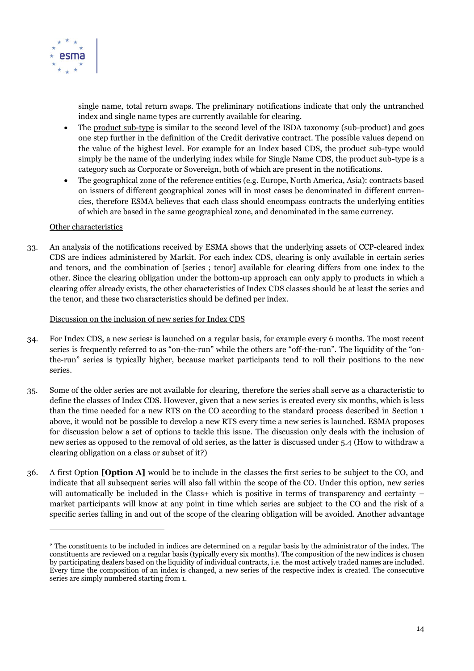

single name, total return swaps. The preliminary notifications indicate that only the untranched index and single name types are currently available for clearing.

- The product sub-type is similar to the second level of the ISDA taxonomy (sub-product) and goes one step further in the definition of the Credit derivative contract. The possible values depend on the value of the highest level. For example for an Index based CDS, the product sub-type would simply be the name of the underlying index while for Single Name CDS, the product sub-type is a category such as Corporate or Sovereign, both of which are present in the notifications.
- The geographical zone of the reference entities (e.g. Europe, North America, Asia): contracts based on issuers of different geographical zones will in most cases be denominated in different currencies, therefore ESMA believes that each class should encompass contracts the underlying entities of which are based in the same geographical zone, and denominated in the same currency.

#### Other characteristics

 $\overline{a}$ 

33. An analysis of the notifications received by ESMA shows that the underlying assets of CCP-cleared index CDS are indices administered by Markit. For each index CDS, clearing is only available in certain series and tenors, and the combination of [series ; tenor] available for clearing differs from one index to the other. Since the clearing obligation under the bottom-up approach can only apply to products in which a clearing offer already exists, the other characteristics of Index CDS classes should be at least the series and the tenor, and these two characteristics should be defined per index.

#### Discussion on the inclusion of new series for Index CDS

- 34. For Index CDS, a new series<sup>2</sup> is launched on a regular basis, for example every 6 months. The most recent series is frequently referred to as "on-the-run" while the others are "off-the-run". The liquidity of the "onthe-run" series is typically higher, because market participants tend to roll their positions to the new series.
- 35. Some of the older series are not available for clearing, therefore the series shall serve as a characteristic to define the classes of Index CDS. However, given that a new series is created every six months, which is less than the time needed for a new RTS on the CO according to the standard process described in Section 1 above, it would not be possible to develop a new RTS every time a new series is launched. ESMA proposes for discussion below a set of options to tackle this issue. The discussion only deals with the inclusion of new series as opposed to the removal of old series, as the latter is discussed under [5.4](#page-45-0) [\(How to withdraw a](#page-45-0)  [clearing obligation on a class or subset of it?\)](#page-45-0)
- 36. A first Option **[Option A]** would be to include in the classes the first series to be subject to the CO, and indicate that all subsequent series will also fall within the scope of the CO. Under this option, new series will automatically be included in the Class+ which is positive in terms of transparency and certainty  $$ market participants will know at any point in time which series are subject to the CO and the risk of a specific series falling in and out of the scope of the clearing obligation will be avoided. Another advantage

<sup>2</sup> The constituents to be included in indices are determined on a regular basis by the administrator of the index. The constituents are reviewed on a regular basis (typically every six months). The composition of the new indices is chosen by participating dealers based on the liquidity of individual contracts, i.e. the most actively traded names are included. Every time the composition of an index is changed, a new series of the respective index is created. The consecutive series are simply numbered starting from 1.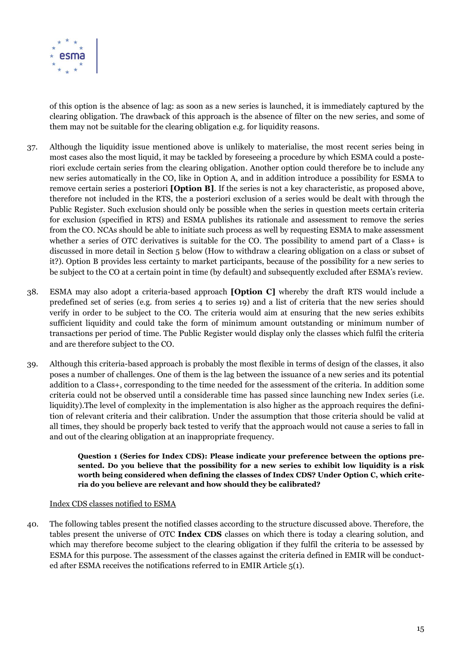

of this option is the absence of lag: as soon as a new series is launched, it is immediately captured by the clearing obligation. The drawback of this approach is the absence of filter on the new series, and some of them may not be suitable for the clearing obligation e.g. for liquidity reasons.

- 37. Although the liquidity issue mentioned above is unlikely to materialise, the most recent series being in most cases also the most liquid, it may be tackled by foreseeing a procedure by which ESMA could a posteriori exclude certain series from the clearing obligation. Another option could therefore be to include any new series automatically in the CO, like in Option A, and in addition introduce a possibility for ESMA to remove certain series a posteriori **[Option B]**. If the series is not a key characteristic, as proposed above, therefore not included in the RTS, the a posteriori exclusion of a series would be dealt with through the Public Register. Such exclusion should only be possible when the series in question meets certain criteria for exclusion (specified in RTS) and ESMA publishes its rationale and assessment to remove the series from the CO. NCAs should be able to initiate such process as well by requesting ESMA to make assessment whether a series of OTC derivatives is suitable for the CO. The possibility to amend part of a Class+ is discussed in more detail in Section [5 below](#page-44-0) [\(How to withdraw a clearing obligation on a class or subset of](#page-45-0)  [it?\)](#page-45-0). Option B provides less certainty to market participants, because of the possibility for a new series to be subject to the CO at a certain point in time (by default) and subsequently excluded after ESMA's review.
- <span id="page-14-0"></span>38. ESMA may also adopt a criteria-based approach **[Option C]** whereby the draft RTS would include a predefined set of series (e.g. from series 4 to series 19) and a list of criteria that the new series should verify in order to be subject to the CO. The criteria would aim at ensuring that the new series exhibits sufficient liquidity and could take the form of minimum amount outstanding or minimum number of transactions per period of time. The Public Register would display only the classes which fulfil the criteria and are therefore subject to the CO.
- <span id="page-14-1"></span>39. Although this criteria-based approach is probably the most flexible in terms of design of the classes, it also poses a number of challenges. One of them is the lag between the issuance of a new series and its potential addition to a Class+, corresponding to the time needed for the assessment of the criteria. In addition some criteria could not be observed until a considerable time has passed since launching new Index series (i.e. liquidity).The level of complexity in the implementation is also higher as the approach requires the definition of relevant criteria and their calibration. Under the assumption that those criteria should be valid at all times, they should be properly back tested to verify that the approach would not cause a series to fall in and out of the clearing obligation at an inappropriate frequency.

#### **Question 1 (Series for Index CDS): Please indicate your preference between the options presented. Do you believe that the possibility for a new series to exhibit low liquidity is a risk worth being considered when defining the classes of Index CDS? Under Option C, which criteria do you believe are relevant and how should they be calibrated?**

#### Index CDS classes notified to ESMA

40. The following tables present the notified classes according to the structure discussed above. Therefore, the tables present the universe of OTC **Index CDS** classes on which there is today a clearing solution, and which may therefore become subject to the clearing obligation if they fulfil the criteria to be assessed by ESMA for this purpose. The assessment of the classes against the criteria defined in EMIR will be conducted after ESMA receives the notifications referred to in EMIR Article 5(1).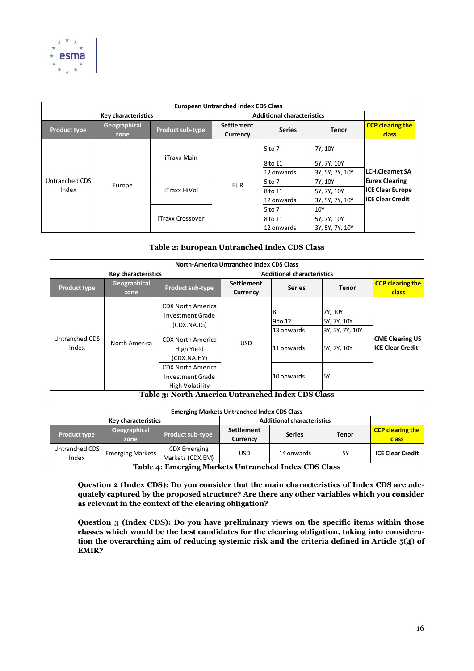

| <b>European Untranched Index CDS Class</b> |                            |                         |                        |                                   |                 |                                         |  |  |  |  |  |            |                 |                         |         |  |             |
|--------------------------------------------|----------------------------|-------------------------|------------------------|-----------------------------------|-----------------|-----------------------------------------|--|--|--|--|--|------------|-----------------|-------------------------|---------|--|-------------|
|                                            | <b>Key characteristics</b> |                         |                        | <b>Additional characteristics</b> |                 |                                         |  |  |  |  |  |            |                 |                         |         |  |             |
| <b>Product type</b>                        | Geographical<br>zone       | <b>Product sub-type</b> | Settlement<br>Currency | <b>Series</b>                     | <b>Tenor</b>    | <b>CCP clearing the</b><br><b>class</b> |  |  |  |  |  |            |                 |                         |         |  |             |
|                                            |                            | iTraxx Main             |                        | 5 to 7                            | 7Y, 10Y         |                                         |  |  |  |  |  |            |                 |                         |         |  |             |
|                                            |                            | iTraxx HiVol            |                        | 8 to 11                           | 5Y, 7Y, 10Y     |                                         |  |  |  |  |  |            |                 |                         |         |  |             |
|                                            |                            |                         |                        |                                   |                 |                                         |  |  |  |  |  | 12 onwards | 3Y, 5Y, 7Y, 10Y | <b>ILCH.Clearnet SA</b> |         |  |             |
| Untranched CDS                             | Europe                     |                         | <b>EUR</b>             | 5 to 7                            | 7Y, 10Y         | <b>Eurex Clearing</b>                   |  |  |  |  |  |            |                 |                         |         |  |             |
| Index                                      |                            |                         |                        |                                   |                 |                                         |  |  |  |  |  |            |                 |                         | 8 to 11 |  | 5Y, 7Y, 10Y |
|                                            |                            |                         |                        | 12 onwards                        | 3Y, 5Y, 7Y, 10Y | <b>ICE Clear Credit</b>                 |  |  |  |  |  |            |                 |                         |         |  |             |
|                                            |                            |                         |                        | $5$ to $7$                        | 10Y             |                                         |  |  |  |  |  |            |                 |                         |         |  |             |
|                                            |                            | iTraxx Crossover        |                        | 8 to 11                           | 5Y, 7Y, 10Y     |                                         |  |  |  |  |  |            |                 |                         |         |  |             |
|                                            |                            |                         |                        | 12 onwards                        | 3Y, 5Y, 7Y, 10Y |                                         |  |  |  |  |  |            |                 |                         |         |  |             |

#### **Table 2: European Untranched Index CDS Class**

| <b>North-America Untranched Index CDS Class</b> |                            |                                                                                                                                                               |                        |                                                        |                                                                 |                                                    |  |  |
|-------------------------------------------------|----------------------------|---------------------------------------------------------------------------------------------------------------------------------------------------------------|------------------------|--------------------------------------------------------|-----------------------------------------------------------------|----------------------------------------------------|--|--|
|                                                 | <b>Key characteristics</b> |                                                                                                                                                               |                        | <b>Additional characteristics</b>                      |                                                                 |                                                    |  |  |
| <b>Product type</b>                             | Geographical<br>zone       | <b>Product sub-type</b>                                                                                                                                       | Settlement<br>Currency | <b>Series</b>                                          | <b>Tenor</b>                                                    | <b>CCP clearing the</b><br>class                   |  |  |
| Untranched CDS<br>Index                         | North America              | CDX North America<br>Investment Grade<br>(CDX.NA.IG)<br><b>CDX North America</b><br>High Yield<br>(CDX.NA.HY)<br><b>CDX North America</b><br>Investment Grade | <b>USD</b>             | 8<br>9 to 12<br>13 onwards<br>11 onwards<br>10 onwards | 7Y, 10Y<br>5Y, 7Y, 10Y<br>3Y, 5Y, 7Y, 10Y<br>5Y, 7Y, 10Y<br>SY) | <b>CME Clearing US</b><br><b>IICE Clear Credit</b> |  |  |
|                                                 |                            | High Volatility                                                                                                                                               |                        |                                                        |                                                                 |                                                    |  |  |

**Table 3: North-America Untranched Index CDS Class**

| <b>Emerging Markets Untranched Index CDS Class</b> |                         |                                         |                                   |                               |    |                                  |  |
|----------------------------------------------------|-------------------------|-----------------------------------------|-----------------------------------|-------------------------------|----|----------------------------------|--|
| <b>Key characteristics</b>                         |                         |                                         | <b>Additional characteristics</b> |                               |    |                                  |  |
| <b>Product type</b>                                | Geographical<br>zone    | <b>Product sub-type</b>                 | Settlement<br>Currency            | <b>Series</b><br><b>Tenor</b> |    | <b>CCP clearing the</b><br>class |  |
| Untranched CDS<br>Index                            | <b>Emerging Markets</b> | <b>CDX</b> Emerging<br>Markets (CDX.EM) | <b>USD</b>                        | 14 onwards                    | 5Y | <b>ICE Clear Credit</b>          |  |

**Table 4: Emerging Markets Untranched Index CDS Class**

**Question 2 (Index CDS): Do you consider that the main characteristics of Index CDS are adequately captured by the proposed structure? Are there any other variables which you consider as relevant in the context of the clearing obligation?**

<span id="page-15-0"></span>**Question 3 (Index CDS): Do you have preliminary views on the specific items within those classes which would be the best candidates for the clearing obligation, taking into consideration the overarching aim of reducing systemic risk and the criteria defined in Article 5(4) of EMIR?**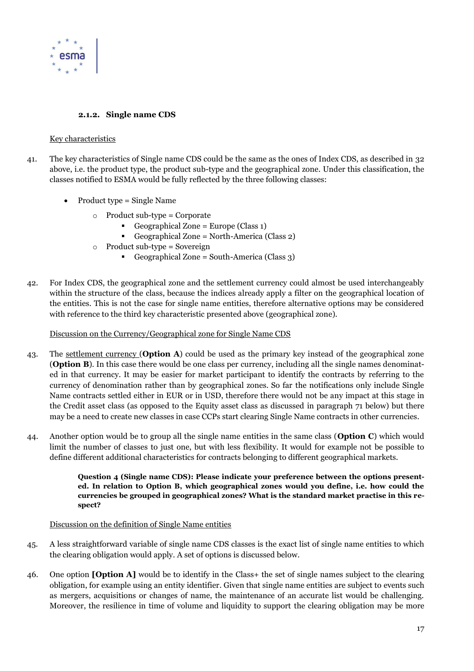

## **2.1.2. Single name CDS**

#### Key characteristics

- 41. The key characteristics of Single name CDS could be the same as the ones of Index CDS, as described in [32](#page-12-0)  [above,](#page-12-0) i.e. the product type, the product sub-type and the geographical zone. Under this classification, the classes notified to ESMA would be fully reflected by the three following classes:
	- Product type = Single Name
		- o Product sub-type = Corporate
			- Geographical Zone = Europe (Class 1)
			- Geographical Zone = North-America (Class 2)
		- o Product sub-type = Sovereign
			- Geographical Zone = South-America (Class  $3$ )
- 42. For Index CDS, the geographical zone and the settlement currency could almost be used interchangeably within the structure of the class, because the indices already apply a filter on the geographical location of the entities. This is not the case for single name entities, therefore alternative options may be considered with reference to the third key characteristic presented above (geographical zone).

#### <span id="page-16-0"></span>Discussion on the Currency/Geographical zone for Single Name CDS

- 43. The settlement currency (**Option A**) could be used as the primary key instead of the geographical zone (**Option B**). In this case there would be one class per currency, including all the single names denominated in that currency. It may be easier for market participant to identify the contracts by referring to the currency of denomination rather than by geographical zones. So far the notifications only include Single Name contracts settled either in EUR or in USD, therefore there would not be any impact at this stage in the Credit asset class (as opposed to the Equity asset class as discussed in paragraph [71 below\)](#page-25-0) but there may be a need to create new classes in case CCPs start clearing Single Name contracts in other currencies.
- 44. Another option would be to group all the single name entities in the same class (**Option C**) which would limit the number of classes to just one, but with less flexibility. It would for example not be possible to define different additional characteristics for contracts belonging to different geographical markets.

**Question 4 (Single name CDS): Please indicate your preference between the options presented. In relation to Option B, which geographical zones would you define, i.e. how could the currencies be grouped in geographical zones? What is the standard market practise in this respect?**

#### Discussion on the definition of Single Name entities

- 45. A less straightforward variable of single name CDS classes is the exact list of single name entities to which the clearing obligation would apply. A set of options is discussed below.
- 46. One option **[Option A]** would be to identify in the Class+ the set of single names subject to the clearing obligation, for example using an entity identifier. Given that single name entities are subject to events such as mergers, acquisitions or changes of name, the maintenance of an accurate list would be challenging. Moreover, the resilience in time of volume and liquidity to support the clearing obligation may be more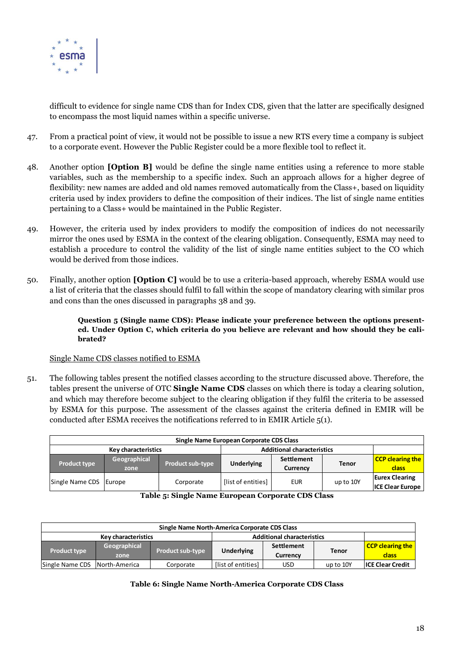

difficult to evidence for single name CDS than for Index CDS, given that the latter are specifically designed to encompass the most liquid names within a specific universe.

- 47. From a practical point of view, it would not be possible to issue a new RTS every time a company is subject to a corporate event. However the Public Register could be a more flexible tool to reflect it.
- 48. Another option **[Option B]** would be define the single name entities using a reference to more stable variables, such as the membership to a specific index. Such an approach allows for a higher degree of flexibility: new names are added and old names removed automatically from the Class+, based on liquidity criteria used by index providers to define the composition of their indices. The list of single name entities pertaining to a Class+ would be maintained in the Public Register.
- 49. However, the criteria used by index providers to modify the composition of indices do not necessarily mirror the ones used by ESMA in the context of the clearing obligation. Consequently, ESMA may need to establish a procedure to control the validity of the list of single name entities subject to the CO which would be derived from those indices.
- 50. Finally, another option **[Option C]** would be to use a criteria-based approach, whereby ESMA would use a list of criteria that the classes should fulfil to fall within the scope of mandatory clearing with similar pros and cons than the ones discussed in paragraphs [38](#page-14-0) an[d 39.](#page-14-1)

**Question 5 (Single name CDS): Please indicate your preference between the options presented. Under Option C, which criteria do you believe are relevant and how should they be calibrated?**

#### Single Name CDS classes notified to ESMA

51. The following tables present the notified classes according to the structure discussed above. Therefore, the tables present the universe of OTC **Single Name CDS** classes on which there is today a clearing solution, and which may therefore become subject to the clearing obligation if they fulfil the criteria to be assessed by ESMA for this purpose. The assessment of the classes against the criteria defined in EMIR will be conducted after ESMA receives the notifications referred to in EMIR Article 5(1).

| Single Name European Corporate CDS Class |                      |                         |                    |                                   |              |                                                  |  |  |
|------------------------------------------|----------------------|-------------------------|--------------------|-----------------------------------|--------------|--------------------------------------------------|--|--|
| <b>Key characteristics</b>               |                      |                         |                    | <b>Additional characteristics</b> |              |                                                  |  |  |
| <b>Product type</b>                      | Geographical<br>zone | <b>Product sub-type</b> | <b>Underlying</b>  | Settlement<br>Currency            | <b>Tenor</b> | <b>CCP clearing the</b><br>class                 |  |  |
| Single Name CDS Europe                   |                      | Corporate               | [list of entities] | <b>EUR</b>                        | up to 10Y    | <b>Eurex Clearing</b><br><b>ICE Clear Europe</b> |  |  |

**Table 5: Single Name European Corporate CDS Class**

| Single Name North-America Corporate CDS Class |                      |                         |                                   |                        |              |                                  |  |  |
|-----------------------------------------------|----------------------|-------------------------|-----------------------------------|------------------------|--------------|----------------------------------|--|--|
| Key characteristics                           |                      |                         | <b>Additional characteristics</b> |                        |              |                                  |  |  |
| <b>Product type</b>                           | Geographical<br>zone | <b>Product sub-type</b> | Underlying                        | Settlement<br>Currency | <b>Tenor</b> | <b>CCP clearing the</b><br>class |  |  |
| Single Name CDS                               | North-America        | Corporate               | [list of entities]                | USD                    | up to 10Y    | <b>ICE Clear Credit</b>          |  |  |

**Table 6: Single Name North-America Corporate CDS Class**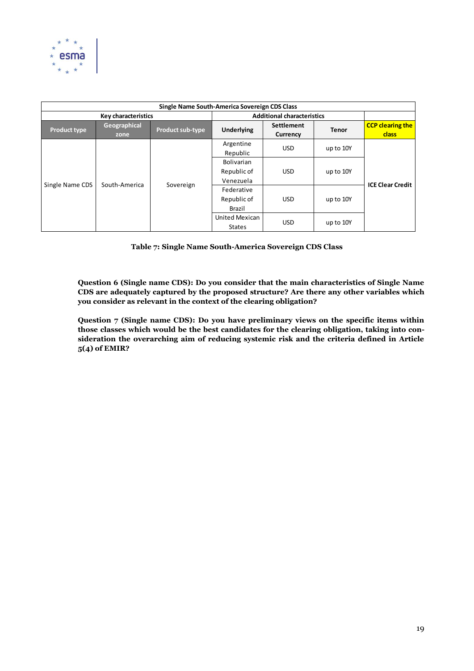

| Single Name South-America Sovereign CDS Class |                            |                         |                                               |                                   |              |                                  |  |  |
|-----------------------------------------------|----------------------------|-------------------------|-----------------------------------------------|-----------------------------------|--------------|----------------------------------|--|--|
|                                               | <b>Key characteristics</b> |                         |                                               | <b>Additional characteristics</b> |              |                                  |  |  |
| <b>Product type</b>                           | Geographical<br>zone       | <b>Product sub-type</b> | Underlying                                    | Settlement<br>Currency            | <b>Tenor</b> | <b>CCP</b> clearing the<br>class |  |  |
| Single Name CDS                               |                            |                         | Argentine<br>Republic                         | <b>USD</b>                        | up to 10Y    |                                  |  |  |
|                                               | South-America              | Sovereign               | <b>Bolivarian</b><br>Republic of<br>Venezuela | <b>USD</b>                        | up to 10Y    | <b>ICE Clear Credit</b>          |  |  |
|                                               |                            |                         | Federative<br>Republic of<br>Brazil           | <b>USD</b>                        | up to 10Y    |                                  |  |  |
|                                               |                            |                         | United Mexican<br><b>States</b>               | <b>USD</b>                        | up to 10Y    |                                  |  |  |

#### **Table 7: Single Name South-America Sovereign CDS Class**

**Question 6 (Single name CDS): Do you consider that the main characteristics of Single Name CDS are adequately captured by the proposed structure? Are there any other variables which you consider as relevant in the context of the clearing obligation?**

**Question 7 (Single name CDS): Do you have preliminary views on the specific items within those classes which would be the best candidates for the clearing obligation, taking into consideration the overarching aim of reducing systemic risk and the criteria defined in Article 5(4) of EMIR?**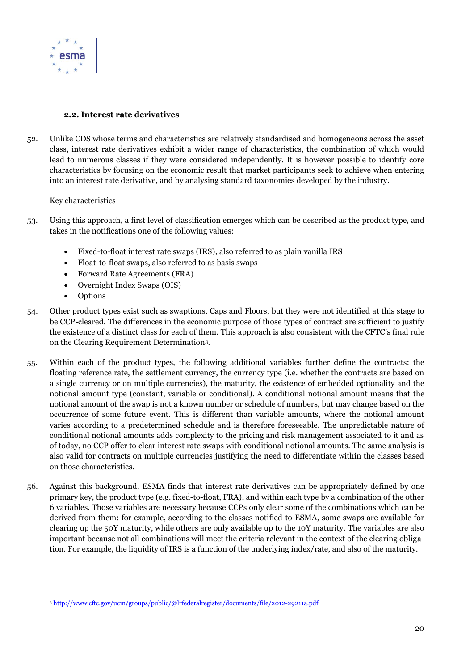

#### **2.2. Interest rate derivatives**

52. Unlike CDS whose terms and characteristics are relatively standardised and homogeneous across the asset class, interest rate derivatives exhibit a wider range of characteristics, the combination of which would lead to numerous classes if they were considered independently. It is however possible to identify core characteristics by focusing on the economic result that market participants seek to achieve when entering into an interest rate derivative, and by analysing standard taxonomies developed by the industry.

## Key characteristics

- 53. Using this approach, a first level of classification emerges which can be described as the product type, and takes in the notifications one of the following values:
	- Fixed-to-float interest rate swaps (IRS), also referred to as plain vanilla IRS
	- Float-to-float swaps, also referred to as basis swaps
	- Forward Rate Agreements (FRA)
	- Overnight Index Swaps (OIS)
	- Options
- 54. Other product types exist such as swaptions, Caps and Floors, but they were not identified at this stage to be CCP-cleared. The differences in the economic purpose of those types of contract are sufficient to justify the existence of a distinct class for each of them. This approach is also consistent with the CFTC's final rule on the Clearing Requirement Determination3.
- 55. Within each of the product types, the following additional variables further define the contracts: the floating reference rate, the settlement currency, the currency type (i.e. whether the contracts are based on a single currency or on multiple currencies), the maturity, the existence of embedded optionality and the notional amount type (constant, variable or conditional). A conditional notional amount means that the notional amount of the swap is not a known number or schedule of numbers, but may change based on the occurrence of some future event. This is different than variable amounts, where the notional amount varies according to a predetermined schedule and is therefore foreseeable. The unpredictable nature of conditional notional amounts adds complexity to the pricing and risk management associated to it and as of today, no CCP offer to clear interest rate swaps with conditional notional amounts. The same analysis is also valid for contracts on multiple currencies justifying the need to differentiate within the classes based on those characteristics.
- 56. Against this background, ESMA finds that interest rate derivatives can be appropriately defined by one primary key, the product type (e.g. fixed-to-float, FRA), and within each type by a combination of the other 6 variables. Those variables are necessary because CCPs only clear some of the combinations which can be derived from them: for example, according to the classes notified to ESMA, some swaps are available for clearing up the 50Y maturity, while others are only available up to the 10Y maturity. The variables are also important because not all combinations will meet the criteria relevant in the context of the clearing obligation. For example, the liquidity of IRS is a function of the underlying index/rate, and also of the maturity.

 $\overline{a}$ <sup>3</sup> <http://www.cftc.gov/ucm/groups/public/@lrfederalregister/documents/file/2012-29211a.pdf>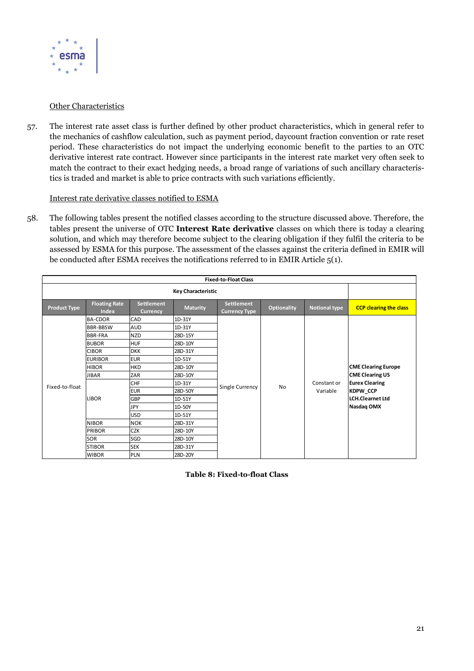

#### Other Characteristics

57. The interest rate asset class is further defined by other product characteristics, which in general refer to the mechanics of cashflow calculation, such as payment period, daycount fraction convention or rate reset period. These characteristics do not impact the underlying economic benefit to the parties to an OTC derivative interest rate contract. However since participants in the interest rate market very often seek to match the contract to their exact hedging needs, a broad range of variations of such ancillary characteristics is traded and market is able to price contracts with such variations efficiently.

#### Interest rate derivative classes notified to ESMA

58. The following tables present the notified classes according to the structure discussed above. Therefore, the tables present the universe of OTC **Interest Rate derivative** classes on which there is today a clearing solution, and which may therefore become subject to the clearing obligation if they fulfil the criteria to be assessed by ESMA for this purpose. The assessment of the classes against the criteria defined in EMIR will be conducted after ESMA receives the notifications referred to in EMIR Article 5(1).

| <b>Product Type</b> | <b>Floating Rate</b><br><b>Index</b> | <b>Settlement</b><br><b>Currency</b> | <b>Maturity</b> | <b>Settlement</b><br><b>Currency Type</b> | <b>Optionality</b> | <b>Notional type</b>    | <b>CCP clearing the class</b>                                                 |  |  |
|---------------------|--------------------------------------|--------------------------------------|-----------------|-------------------------------------------|--------------------|-------------------------|-------------------------------------------------------------------------------|--|--|
|                     | <b>BA-CDOR</b>                       | CAD                                  | 1D-31Y          |                                           |                    |                         |                                                                               |  |  |
|                     | <b>BBR-BBSW</b>                      | <b>AUD</b>                           | 1D-31Y          |                                           |                    |                         |                                                                               |  |  |
|                     | <b>BBR-FRA</b>                       | <b>NZD</b>                           | 28D-15Y         |                                           |                    |                         |                                                                               |  |  |
|                     | <b>BUBOR</b>                         | <b>HUF</b>                           | 28D-10Y         |                                           |                    |                         |                                                                               |  |  |
|                     | <b>CIBOR</b>                         | <b>DKK</b>                           | 28D-31Y         |                                           |                    |                         |                                                                               |  |  |
|                     | <b>EURIBOR</b>                       | <b>EUR</b>                           | 1D-51Y          |                                           |                    |                         | <b>CME Clearing Europe</b><br><b>CME Clearing US</b><br><b>Eurex Clearing</b> |  |  |
|                     | <b>HIBOR</b>                         | <b>HKD</b>                           | 28D-10Y         |                                           |                    |                         |                                                                               |  |  |
|                     | <b>JIBAR</b>                         | ZAR                                  | 28D-10Y         |                                           |                    | Constant or<br>Variable |                                                                               |  |  |
| Fixed-to-float      |                                      | <b>CHF</b>                           | 1D-31Y          | Single Currency                           | No                 |                         |                                                                               |  |  |
|                     |                                      | <b>EUR</b>                           | 28D-50Y         |                                           |                    |                         | <b>KDPW CCP</b>                                                               |  |  |
|                     | <b>LIBOR</b>                         | <b>GBP</b>                           | 1D-51Y          |                                           |                    |                         | <b>LCH.Clearnet Ltd</b>                                                       |  |  |
|                     |                                      | JPY                                  | 1D-50Y          |                                           |                    |                         | Nasdaq OMX                                                                    |  |  |
|                     |                                      | <b>USD</b>                           | 1D-51Y          |                                           |                    |                         |                                                                               |  |  |
|                     | <b>NIBOR</b>                         | <b>NOK</b>                           | 28D-31Y         |                                           |                    |                         |                                                                               |  |  |
|                     | <b>PRIBOR</b>                        | <b>CZK</b>                           | 28D-10Y         |                                           |                    |                         |                                                                               |  |  |
|                     | SOR                                  | SGD                                  | 28D-10Y         |                                           |                    |                         |                                                                               |  |  |
|                     | <b>STIBOR</b>                        | <b>SEK</b>                           | 28D-31Y         |                                           |                    |                         |                                                                               |  |  |
|                     | <b>WIBOR</b>                         | <b>PLN</b>                           | 28D-20Y         |                                           |                    |                         |                                                                               |  |  |

**Table 8: Fixed-to-float Class**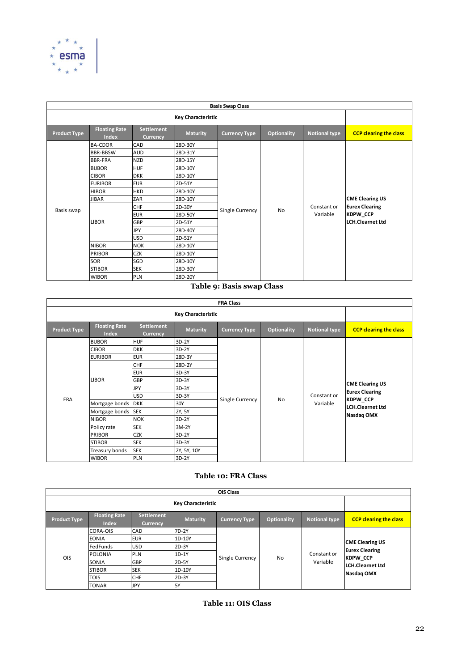

|                     |                                      |                                      |                           | <b>Basis Swap Class</b> |                    |                      |                               |  |  |  |
|---------------------|--------------------------------------|--------------------------------------|---------------------------|-------------------------|--------------------|----------------------|-------------------------------|--|--|--|
|                     |                                      |                                      | <b>Key Characteristic</b> |                         |                    |                      |                               |  |  |  |
| <b>Product Type</b> | <b>Floating Rate</b><br><b>Index</b> | <b>Settlement</b><br><b>Currency</b> | <b>Maturity</b>           | <b>Currency Type</b>    | <b>Optionality</b> | <b>Notional type</b> | <b>CCP clearing the class</b> |  |  |  |
|                     | <b>BA-CDOR</b>                       | CAD                                  | 28D-30Y                   |                         |                    |                      |                               |  |  |  |
|                     | <b>BBR-BBSW</b>                      | <b>AUD</b>                           | 28D-31Y                   |                         |                    |                      |                               |  |  |  |
|                     | <b>BBR-FRA</b>                       | <b>NZD</b>                           | 28D-15Y                   |                         |                    |                      |                               |  |  |  |
|                     | <b>BUBOR</b>                         | <b>HUF</b>                           | 28D-10Y                   |                         |                    |                      |                               |  |  |  |
|                     | <b>CIBOR</b>                         | <b>DKK</b>                           | 28D-10Y                   |                         |                    |                      |                               |  |  |  |
|                     | <b>EURIBOR</b>                       | <b>EUR</b>                           | 2D-51Y                    |                         |                    |                      |                               |  |  |  |
|                     | <b>HIBOR</b>                         | <b>HKD</b>                           | 28D-10Y                   |                         |                    |                      |                               |  |  |  |
|                     | <b>JIBAR</b>                         | ZAR                                  | 28D-10Y                   |                         |                    |                      | <b>CME Clearing US</b>        |  |  |  |
| Basis swap          |                                      | <b>CHF</b>                           | 2D-30Y                    | Single Currency         | No                 | Constant or          | <b>Eurex Clearing</b>         |  |  |  |
|                     |                                      | <b>EUR</b>                           | 28D-50Y                   |                         |                    | Variable             | <b>KDPW CCP</b>               |  |  |  |
|                     | <b>LIBOR</b>                         | <b>GBP</b>                           | 2D-51Y                    |                         |                    |                      | <b>LCH.Clearnet Ltd</b>       |  |  |  |
|                     |                                      | <b>JPY</b>                           | 28D-40Y                   |                         |                    |                      |                               |  |  |  |
|                     |                                      | <b>USD</b>                           | 2D-51Y                    |                         |                    |                      |                               |  |  |  |
|                     | <b>NIBOR</b>                         | <b>NOK</b>                           | 28D-10Y                   |                         |                    |                      |                               |  |  |  |
|                     | <b>PRIBOR</b>                        | <b>CZK</b>                           | 28D-10Y                   |                         |                    |                      |                               |  |  |  |
|                     | SOR                                  | SGD                                  | 28D-10Y                   |                         |                    |                      |                               |  |  |  |
|                     | <b>STIBOR</b>                        | <b>SEK</b>                           | 28D-30Y                   |                         |                    |                      |                               |  |  |  |
|                     | <b>WIBOR</b>                         | <b>PLN</b>                           | 28D-20Y                   |                         |                    |                      |                               |  |  |  |

## **Table 9: Basis swap Class**

|                     |                                      |                                      |                           | <b>FRA Class</b>     |                    |                      |                               |
|---------------------|--------------------------------------|--------------------------------------|---------------------------|----------------------|--------------------|----------------------|-------------------------------|
|                     |                                      |                                      | <b>Key Characteristic</b> |                      |                    |                      |                               |
| <b>Product Type</b> | <b>Floating Rate</b><br><b>Index</b> | <b>Settlement</b><br><b>Currency</b> | <b>Maturity</b>           | <b>Currency Type</b> | <b>Optionality</b> | <b>Notional type</b> | <b>CCP clearing the class</b> |
|                     | <b>BUBOR</b>                         | <b>HUF</b>                           | 3D-2Y                     |                      |                    |                      |                               |
|                     | <b>CIBOR</b>                         | <b>DKK</b>                           | 3D-2Y                     |                      |                    |                      |                               |
|                     | <b>EURIBOR</b>                       | <b>EUR</b>                           | 28D-3Y                    |                      |                    |                      |                               |
|                     |                                      | <b>CHF</b>                           | 28D-2Y                    |                      |                    |                      |                               |
|                     |                                      | <b>EUR</b>                           | 3D-3Y                     |                      |                    |                      |                               |
|                     | <b>LIBOR</b>                         | <b>GBP</b>                           | 3D-3Y                     |                      |                    |                      | <b>CME Clearing US</b>        |
|                     |                                      | <b>JPY</b>                           | 3D-3Y                     |                      |                    |                      | <b>Eurex Clearing</b>         |
| <b>FRA</b>          |                                      | <b>USD</b>                           | 3D-3Y                     | Single Currency      | No                 | Constant or          | <b>KDPW_CCP</b>               |
|                     | Mortgage bonds                       | <b>DKK</b>                           | 30Y                       |                      |                    | Variable             | <b>LCH.Clearnet Ltd</b>       |
|                     | Mortgage bonds SEK                   |                                      | 2Y, 5Y                    |                      |                    |                      | Nasdaq OMX                    |
|                     | <b>NIBOR</b>                         | <b>NOK</b>                           | 3D-2Y                     |                      |                    |                      |                               |
|                     | Policy rate                          | <b>SEK</b>                           | 3M-2Y                     |                      |                    |                      |                               |
|                     | <b>PRIBOR</b>                        | <b>CZK</b>                           | 3D-2Y                     |                      |                    |                      |                               |
|                     | <b>STIBOR</b>                        | <b>SEK</b>                           | 3D-3Y                     |                      |                    |                      |                               |
|                     | Treasury bonds                       | <b>SEK</b>                           | 2Y, 5Y, 10Y               |                      |                    |                      |                               |
|                     | <b>WIBOR</b>                         | PLN                                  | 3D-2Y                     |                      |                    |                      |                               |

# **Table 10: FRA Class**

|                     |                               |                                      |                           | <b>OIS Class</b>     |                    |                      |                               |  |
|---------------------|-------------------------------|--------------------------------------|---------------------------|----------------------|--------------------|----------------------|-------------------------------|--|
|                     |                               |                                      | <b>Key Characteristic</b> |                      |                    |                      |                               |  |
| <b>Product Type</b> | <b>Floating Rate</b><br>Index | <b>Settlement</b><br><b>Currency</b> | <b>Maturity</b>           | <b>Currency Type</b> | <b>Optionality</b> | <b>Notional type</b> | <b>CCP clearing the class</b> |  |
|                     | <b>CORA-OIS</b>               | <b>CAD</b>                           | 7D-2Y                     |                      |                    |                      |                               |  |
|                     | <b>EONIA</b>                  | <b>EUR</b>                           | 1D-10Y                    |                      |                    |                      | <b>CME Clearing US</b>        |  |
|                     | FedFunds                      | <b>USD</b>                           | 2D-3Y                     |                      |                    |                      | <b>Eurex Clearing</b>         |  |
| OIS                 | <b>POLONIA</b>                | <b>PLN</b>                           | $1D-1Y$                   | Single Currency      |                    | Constant or          | <b>KDPW CCP</b>               |  |
|                     | <b>SONIA</b>                  | <b>GBP</b>                           | 2D-5Y                     |                      | No                 | Variable             | <b>LCH.Clearnet Ltd</b>       |  |
|                     | <b>STIBOR</b>                 | <b>SEK</b>                           | 1D-10Y                    |                      |                    |                      | Nasdag OMX                    |  |
|                     | <b>TOIS</b>                   | <b>CHF</b>                           | $2D-3Y$                   |                      |                    |                      |                               |  |
|                     | <b>TONAR</b>                  | <b>JPY</b>                           | 5Y                        |                      |                    |                      |                               |  |

**Table 11: OIS Class**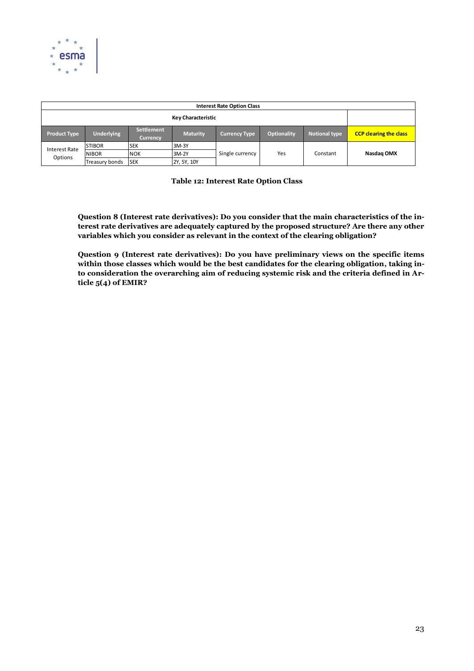

|                                 | <b>Interest Rate Option Class</b>              |                               |             |                 |     |          |            |  |  |  |  |  |
|---------------------------------|------------------------------------------------|-------------------------------|-------------|-----------------|-----|----------|------------|--|--|--|--|--|
|                                 | <b>Key Characteristic</b><br><b>Settlement</b> |                               |             |                 |     |          |            |  |  |  |  |  |
| <b>Product Type</b>             | <b>Underlying</b>                              | <b>CCP clearing the class</b> |             |                 |     |          |            |  |  |  |  |  |
|                                 | <b>STIBOR</b>                                  | <b>SEK</b>                    | 3M-3Y       |                 |     |          |            |  |  |  |  |  |
| <b>Interest Rate</b><br>Options | <b>NIBOR</b>                                   | <b>NOK</b>                    | 3M-2Y       | Single currency | Yes | Constant | Nasdag OMX |  |  |  |  |  |
|                                 | Treasury bonds                                 | <b>SEK</b>                    | 2Y, 5Y, 10Y |                 |     |          |            |  |  |  |  |  |

**Table 12: Interest Rate Option Class**

**Question 8 (Interest rate derivatives): Do you consider that the main characteristics of the interest rate derivatives are adequately captured by the proposed structure? Are there any other variables which you consider as relevant in the context of the clearing obligation?**

**Question 9 (Interest rate derivatives): Do you have preliminary views on the specific items within those classes which would be the best candidates for the clearing obligation, taking into consideration the overarching aim of reducing systemic risk and the criteria defined in Article 5(4) of EMIR?**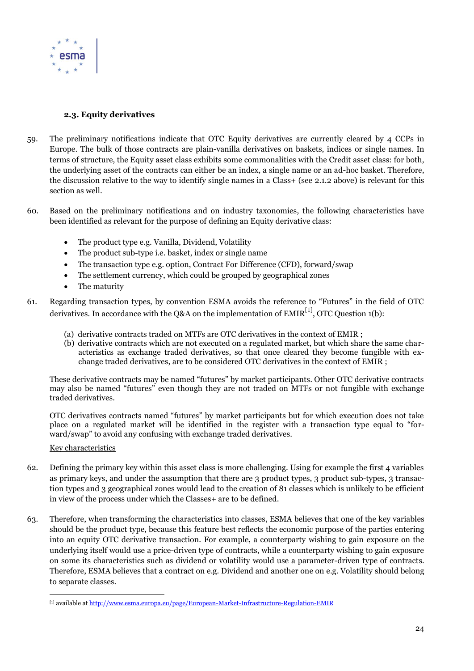

## **2.3. Equity derivatives**

- 59. The preliminary notifications indicate that OTC Equity derivatives are currently cleared by 4 CCPs in Europe. The bulk of those contracts are plain-vanilla derivatives on baskets, indices or single names. In terms of structure, the Equity asset class exhibits some commonalities with the Credit asset class: for both, the underlying asset of the contracts can either be an index, a single name or an ad-hoc basket. Therefore, the discussion relative to the way to identify single names in a Class+ (see [2.1.2 above\)](#page-15-0) is relevant for this section as well.
- 60. Based on the preliminary notifications and on industry taxonomies, the following characteristics have been identified as relevant for the purpose of defining an Equity derivative class:
	- The product type e.g. Vanilla, Dividend, Volatility
	- The product sub-type i.e. basket, index or single name
	- The transaction type e.g. option, Contract For Difference (CFD), forward/swap
	- The settlement currency, which could be grouped by geographical zones
	- The maturity
- <span id="page-23-0"></span>61. Regarding transaction types, by convention ESMA avoids the reference to "Futures" in the field of OTC derivatives. In accordance with the O&A on the implementation of  $EMIR<sup>[1]</sup>$ , OTC Ouestion 1(b):
	- (a) derivative contracts traded on MTFs are OTC derivatives in the context of EMIR ;
	- (b) derivative contracts which are not executed on a regulated market, but which share the same characteristics as exchange traded derivatives, so that once cleared they become fungible with exchange traded derivatives, are to be considered OTC derivatives in the context of EMIR ;

These derivative contracts may be named "futures" by market participants. Other OTC derivative contracts may also be named "futures" even though they are not traded on MTFs or not fungible with exchange traded derivatives.

OTC derivatives contracts named "futures" by market participants but for which execution does not take place on a regulated market will be identified in the register with a transaction type equal to "forward/swap" to avoid any confusing with exchange traded derivatives.

#### Key characteristics

- 62. Defining the primary key within this asset class is more challenging. Using for example the first 4 variables as primary keys, and under the assumption that there are 3 product types, 3 product sub-types, 3 transaction types and 3 geographical zones would lead to the creation of 81 classes which is unlikely to be efficient in view of the process under which the Classes+ are to be defined.
- 63. Therefore, when transforming the characteristics into classes, ESMA believes that one of the key variables should be the product type, because this feature best reflects the economic purpose of the parties entering into an equity OTC derivative transaction. For example, a counterparty wishing to gain exposure on the underlying itself would use a price-driven type of contracts, while a counterparty wishing to gain exposure on some its characteristics such as dividend or volatility would use a parameter-driven type of contracts. Therefore, ESMA believes that a contract on e.g. Dividend and another one on e.g. Volatility should belong to separate classes.

 $\overline{a}$ [1] available a[t http://www.esma.europa.eu/page/European-Market-Infrastructure-Regulation-EMIR](http://www.esma.europa.eu/page/European-Market-Infrastructure-Regulation-EMIR)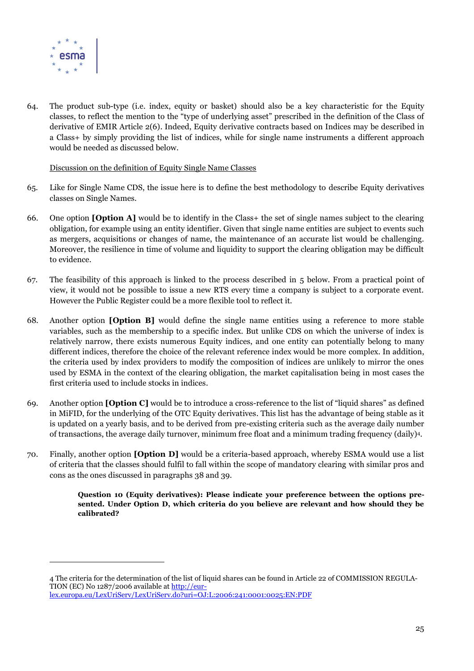

 $\overline{a}$ 

64. The product sub-type (i.e. index, equity or basket) should also be a key characteristic for the Equity classes, to reflect the mention to the "type of underlying asset" prescribed in the definition of the Class of derivative of EMIR Article 2(6). Indeed, Equity derivative contracts based on Indices may be described in a Class+ by simply providing the list of indices, while for single name instruments a different approach would be needed as discussed below.

#### Discussion on the definition of Equity Single Name Classes

- 65. Like for Single Name CDS, the issue here is to define the best methodology to describe Equity derivatives classes on Single Names.
- 66. One option **[Option A]** would be to identify in the Class+ the set of single names subject to the clearing obligation, for example using an entity identifier. Given that single name entities are subject to events such as mergers, acquisitions or changes of name, the maintenance of an accurate list would be challenging. Moreover, the resilience in time of volume and liquidity to support the clearing obligation may be difficult to evidence.
- 67. The feasibility of this approach is linked to the process described in [5 below.](#page-44-0) From a practical point of view, it would not be possible to issue a new RTS every time a company is subject to a corporate event. However the Public Register could be a more flexible tool to reflect it.
- 68. Another option **[Option B]** would define the single name entities using a reference to more stable variables, such as the membership to a specific index. But unlike CDS on which the universe of index is relatively narrow, there exists numerous Equity indices, and one entity can potentially belong to many different indices, therefore the choice of the relevant reference index would be more complex. In addition, the criteria used by index providers to modify the composition of indices are unlikely to mirror the ones used by ESMA in the context of the clearing obligation, the market capitalisation being in most cases the first criteria used to include stocks in indices.
- 69. Another option **[Option C]** would be to introduce a cross-reference to the list of "liquid shares" as defined in MiFID, for the underlying of the OTC Equity derivatives. This list has the advantage of being stable as it is updated on a yearly basis, and to be derived from pre-existing criteria such as the average daily number of transactions, the average daily turnover, minimum free float and a minimum trading frequency (daily)4.
- 70. Finally, another option **[Option D]** would be a criteria-based approach, whereby ESMA would use a list of criteria that the classes should fulfil to fall within the scope of mandatory clearing with similar pros and cons as the ones discussed in paragraph[s 38](#page-14-0) an[d 39.](#page-14-1)

**Question 10 (Equity derivatives): Please indicate your preference between the options presented. Under Option D, which criteria do you believe are relevant and how should they be calibrated?**

<sup>4</sup> The criteria for the determination of the list of liquid shares can be found in Article 22 of COMMISSION REGULATION (EC) No 1287/2006 available a[t http://eur-](http://eur-lex.europa.eu/LexUriServ/LexUriServ.do?uri=OJ:L:2006:241:0001:0025:EN:PDF)

[lex.europa.eu/LexUriServ/LexUriServ.do?uri=OJ:L:2006:241:0001:0025:EN:PDF](http://eur-lex.europa.eu/LexUriServ/LexUriServ.do?uri=OJ:L:2006:241:0001:0025:EN:PDF)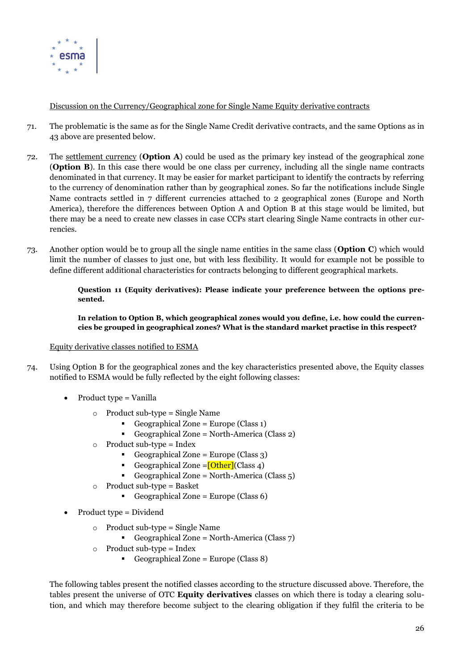

Discussion on the Currency/Geographical zone for Single Name Equity derivative contracts

- <span id="page-25-0"></span>71. The problematic is the same as for the Single Name Credit derivative contracts, and the same Options as in [43 above](#page-16-0) are presented below.
- 72. The settlement currency (**Option A**) could be used as the primary key instead of the geographical zone (**Option B**). In this case there would be one class per currency, including all the single name contracts denominated in that currency. It may be easier for market participant to identify the contracts by referring to the currency of denomination rather than by geographical zones. So far the notifications include Single Name contracts settled in 7 different currencies attached to 2 geographical zones (Europe and North America), therefore the differences between Option A and Option B at this stage would be limited, but there may be a need to create new classes in case CCPs start clearing Single Name contracts in other currencies.
- 73. Another option would be to group all the single name entities in the same class (**Option C**) which would limit the number of classes to just one, but with less flexibility. It would for example not be possible to define different additional characteristics for contracts belonging to different geographical markets.

**Question 11 (Equity derivatives): Please indicate your preference between the options presented.**

**In relation to Option B, which geographical zones would you define, i.e. how could the currencies be grouped in geographical zones? What is the standard market practise in this respect?**

# Equity derivative classes notified to ESMA

- 74. Using Option B for the geographical zones and the key characteristics presented above, the Equity classes notified to ESMA would be fully reflected by the eight following classes:
	- Product type = Vanilla
		- $\circ$  Product sub-type = Single Name
			- Geographical Zone = Europe (Class 1)
			- Geographical Zone = North-America (Class 2)
		- $\circ$  Product sub-type = Index
			- Geographical Zone = Europe (Class 3)
			- Geographical Zone =  $[Other]$  (Class 4)
			- Geographical Zone = North-America (Class  $5$ )
		- $\circ$  Product sub-type = Basket
			- Geographical Zone = Europe (Class  $6$ )
	- Product type = Dividend
		- $\circ$  Product sub-type = Single Name
			- Geographical Zone = North-America (Class  $7$ )
		- $\circ$  Product sub-type = Index
			- Geographical Zone = Europe (Class  $8$ )

The following tables present the notified classes according to the structure discussed above. Therefore, the tables present the universe of OTC **Equity derivatives** classes on which there is today a clearing solution, and which may therefore become subject to the clearing obligation if they fulfil the criteria to be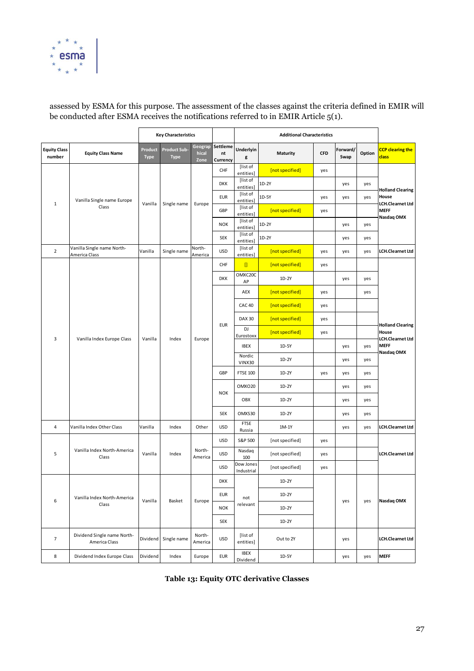

 $\overline{a}$ 

assessed by ESMA for this purpose. The assessment of the classes against the criteria defined in EMIR will be conducted after ESMA receives the notifications referred to in EMIR Article 5(1).

|                               |                                              |                                                            | <b>Key Characteristics</b>         |                          |                                   |                         |                                                                                                                                                                                                                                                                                                           |                                                                                                                                                                                                                                                                                                                                                                                                                                                                                                                                                                                             |                  |        |                                         |  |
|-------------------------------|----------------------------------------------|------------------------------------------------------------|------------------------------------|--------------------------|-----------------------------------|-------------------------|-----------------------------------------------------------------------------------------------------------------------------------------------------------------------------------------------------------------------------------------------------------------------------------------------------------|---------------------------------------------------------------------------------------------------------------------------------------------------------------------------------------------------------------------------------------------------------------------------------------------------------------------------------------------------------------------------------------------------------------------------------------------------------------------------------------------------------------------------------------------------------------------------------------------|------------------|--------|-----------------------------------------|--|
| <b>Equity Class</b><br>number | <b>Equity Class Name</b>                     | Product<br><b>Type</b>                                     | <b>Product Sub-</b><br><b>Type</b> | Geograp<br>hical<br>Zone | <b>Settleme</b><br>nt<br>Currency | Underlyin<br>g          | <b>Maturity</b>                                                                                                                                                                                                                                                                                           | <b>CFD</b>                                                                                                                                                                                                                                                                                                                                                                                                                                                                                                                                                                                  | Forward/<br>Swap | Option | <b>CCP</b> clearing the<br><b>class</b> |  |
|                               |                                              |                                                            |                                    |                          | CHF                               | [list of<br>entities]   | [not specified]                                                                                                                                                                                                                                                                                           | yes                                                                                                                                                                                                                                                                                                                                                                                                                                                                                                                                                                                         |                  |        |                                         |  |
|                               |                                              |                                                            |                                    |                          | <b>DKK</b>                        | [list of<br>entities]   | $1D-2Y$                                                                                                                                                                                                                                                                                                   | <b>Additional Characteristics</b><br>yes<br>yes<br><b>Holland Clearing</b><br>House<br>yes<br>yes<br>yes<br>LCH.Clearnet Ltd<br><b>MEFF</b><br>yes<br>Nasdaq OMX<br>yes<br>yes<br>yes<br>yes<br>LCH.Clearnet Ltd<br>yes<br>yes<br>yes<br>yes<br>yes<br>yes<br>yes<br>yes<br>yes<br>yes<br><b>Holland Clearing</b><br>House<br>yes<br>LCH.Clearnet Ltd<br><b>MEFF</b><br>yes<br>yes<br>Nasdaq OMX<br>yes<br>yes<br>yes<br>yes<br>yes<br>yes<br>yes<br>yes<br>yes<br>yes<br>yes<br>LCH.Clearnet Ltd<br>yes<br>yes<br>yes<br><b>LCH.Clearnet Ltd</b><br>yes<br>yes<br>Nasdaq OMX<br>yes<br>yes |                  |        |                                         |  |
|                               | Vanilla Single name Europe                   |                                                            |                                    |                          | <b>EUR</b>                        | [list of<br>entities]   | 1D-5Y                                                                                                                                                                                                                                                                                                     |                                                                                                                                                                                                                                                                                                                                                                                                                                                                                                                                                                                             |                  |        |                                         |  |
| $\mathbf{1}$                  | Class                                        | Vanilla                                                    | Single name                        | Europe                   | GBP                               | [list of<br>entities]   | [not specified]                                                                                                                                                                                                                                                                                           |                                                                                                                                                                                                                                                                                                                                                                                                                                                                                                                                                                                             |                  |        |                                         |  |
|                               |                                              |                                                            |                                    |                          | <b>NOK</b>                        | [list of<br>entities]   | $1D-2Y$                                                                                                                                                                                                                                                                                                   |                                                                                                                                                                                                                                                                                                                                                                                                                                                                                                                                                                                             |                  |        |                                         |  |
|                               |                                              |                                                            |                                    |                          | <b>SEK</b>                        | [list of<br>entities]   | 1D-2Y                                                                                                                                                                                                                                                                                                     |                                                                                                                                                                                                                                                                                                                                                                                                                                                                                                                                                                                             |                  |        |                                         |  |
| $\overline{2}$                | Vanilla Single name North-<br>America Class  | Vanilla                                                    | Single name                        | North-<br>America        | <b>USD</b>                        | [list of<br>entities]   | [not specified]                                                                                                                                                                                                                                                                                           |                                                                                                                                                                                                                                                                                                                                                                                                                                                                                                                                                                                             |                  |        |                                         |  |
|                               |                                              |                                                            |                                    |                          | CHF                               | $\Box$                  | [not specified]                                                                                                                                                                                                                                                                                           |                                                                                                                                                                                                                                                                                                                                                                                                                                                                                                                                                                                             |                  |        |                                         |  |
|                               |                                              |                                                            |                                    |                          | <b>DKK</b>                        | OMXC20C<br>AP           | 1D-2Y                                                                                                                                                                                                                                                                                                     |                                                                                                                                                                                                                                                                                                                                                                                                                                                                                                                                                                                             |                  |        |                                         |  |
|                               |                                              |                                                            |                                    |                          |                                   | AEX                     | [not specified]                                                                                                                                                                                                                                                                                           |                                                                                                                                                                                                                                                                                                                                                                                                                                                                                                                                                                                             |                  |        |                                         |  |
|                               |                                              |                                                            |                                    |                          |                                   | <b>CAC 40</b>           | [not specified]<br>[not specified]<br>[not specified]<br>$1D-5Y$<br>1D-2Y<br>1D-2Y<br>$1D-2Y$<br>1D-2Y<br>1D-2Y<br>1M-1Y<br>[not specified]<br>[not specified]<br>[not specified]<br>1D-2Y<br>$1D-2Y$<br>$1D-2Y$<br>1D-2Y<br>LCH.Clearnet Ltd<br>Out to 2Y<br>yes<br><b>MEFF</b><br>$1D-5Y$<br>yes<br>yes |                                                                                                                                                                                                                                                                                                                                                                                                                                                                                                                                                                                             |                  |        |                                         |  |
|                               |                                              |                                                            |                                    |                          | <b>EUR</b>                        | <b>DAX 30</b>           |                                                                                                                                                                                                                                                                                                           |                                                                                                                                                                                                                                                                                                                                                                                                                                                                                                                                                                                             |                  |        |                                         |  |
| 3                             | Vanilla Index Europe Class                   | Vanilla<br>Index                                           | Europe                             |                          | DJ<br>Eurostoxx                   |                         |                                                                                                                                                                                                                                                                                                           |                                                                                                                                                                                                                                                                                                                                                                                                                                                                                                                                                                                             |                  |        |                                         |  |
|                               |                                              |                                                            |                                    |                          |                                   | <b>IBEX</b>             |                                                                                                                                                                                                                                                                                                           |                                                                                                                                                                                                                                                                                                                                                                                                                                                                                                                                                                                             |                  |        |                                         |  |
|                               |                                              |                                                            |                                    |                          |                                   | Nordic<br>VINX30        |                                                                                                                                                                                                                                                                                                           |                                                                                                                                                                                                                                                                                                                                                                                                                                                                                                                                                                                             |                  |        |                                         |  |
|                               |                                              |                                                            |                                    |                          | GBP                               | <b>FTSE 100</b>         |                                                                                                                                                                                                                                                                                                           |                                                                                                                                                                                                                                                                                                                                                                                                                                                                                                                                                                                             |                  |        |                                         |  |
|                               |                                              |                                                            |                                    |                          | <b>NOK</b>                        | OMXO20                  |                                                                                                                                                                                                                                                                                                           |                                                                                                                                                                                                                                                                                                                                                                                                                                                                                                                                                                                             |                  |        |                                         |  |
|                               |                                              |                                                            |                                    |                          |                                   | OBX                     |                                                                                                                                                                                                                                                                                                           |                                                                                                                                                                                                                                                                                                                                                                                                                                                                                                                                                                                             |                  |        |                                         |  |
|                               |                                              |                                                            |                                    |                          | <b>SEK</b>                        | OMXS30                  |                                                                                                                                                                                                                                                                                                           |                                                                                                                                                                                                                                                                                                                                                                                                                                                                                                                                                                                             |                  |        |                                         |  |
| $\overline{4}$                | Vanilla Index Other Class                    | Vanilla                                                    | Index                              | Other                    | <b>USD</b>                        | FTSE<br>Russia          |                                                                                                                                                                                                                                                                                                           |                                                                                                                                                                                                                                                                                                                                                                                                                                                                                                                                                                                             |                  |        |                                         |  |
|                               |                                              |                                                            |                                    |                          | <b>USD</b>                        | S&P 500                 |                                                                                                                                                                                                                                                                                                           |                                                                                                                                                                                                                                                                                                                                                                                                                                                                                                                                                                                             |                  |        |                                         |  |
| 5                             | Vanilla Index North-America<br>Class         | Vanilla                                                    | Index                              | North-<br>America        | <b>USD</b>                        | Nasdag<br>100           |                                                                                                                                                                                                                                                                                                           |                                                                                                                                                                                                                                                                                                                                                                                                                                                                                                                                                                                             |                  |        |                                         |  |
|                               |                                              |                                                            |                                    |                          | <b>USD</b>                        | Dow Jones<br>Industrial |                                                                                                                                                                                                                                                                                                           |                                                                                                                                                                                                                                                                                                                                                                                                                                                                                                                                                                                             |                  |        |                                         |  |
|                               |                                              |                                                            |                                    |                          | <b>DKK</b>                        |                         |                                                                                                                                                                                                                                                                                                           |                                                                                                                                                                                                                                                                                                                                                                                                                                                                                                                                                                                             |                  |        |                                         |  |
| 6                             | Vanilla Index North-America                  | Vanilla                                                    | Basket                             | Europe                   | <b>EUR</b>                        | not                     |                                                                                                                                                                                                                                                                                                           |                                                                                                                                                                                                                                                                                                                                                                                                                                                                                                                                                                                             |                  |        |                                         |  |
|                               | Class                                        |                                                            |                                    |                          | <b>NOK</b>                        | relevant                |                                                                                                                                                                                                                                                                                                           |                                                                                                                                                                                                                                                                                                                                                                                                                                                                                                                                                                                             |                  |        |                                         |  |
|                               |                                              |                                                            |                                    |                          | SEK                               |                         |                                                                                                                                                                                                                                                                                                           |                                                                                                                                                                                                                                                                                                                                                                                                                                                                                                                                                                                             |                  |        |                                         |  |
| $\overline{7}$                | Dividend Single name North-<br>America Class | North-<br><b>USD</b><br>Dividend<br>Single name<br>America |                                    |                          | [list of<br>entities]             |                         |                                                                                                                                                                                                                                                                                                           |                                                                                                                                                                                                                                                                                                                                                                                                                                                                                                                                                                                             |                  |        |                                         |  |
| 8                             | Dividend Index Europe Class                  | Dividend                                                   | Index                              | Europe                   | <b>EUR</b>                        | <b>IBEX</b><br>Dividend |                                                                                                                                                                                                                                                                                                           |                                                                                                                                                                                                                                                                                                                                                                                                                                                                                                                                                                                             |                  |        |                                         |  |

**Table 13: Equity OTC derivative Classes**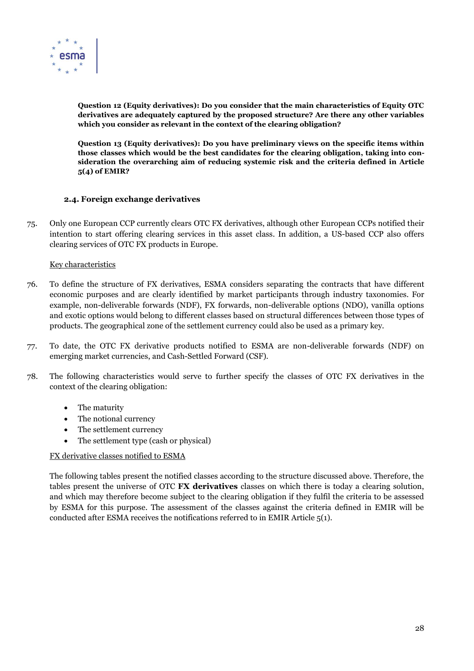

**Question 12 (Equity derivatives): Do you consider that the main characteristics of Equity OTC derivatives are adequately captured by the proposed structure? Are there any other variables which you consider as relevant in the context of the clearing obligation?**

**Question 13 (Equity derivatives): Do you have preliminary views on the specific items within those classes which would be the best candidates for the clearing obligation, taking into consideration the overarching aim of reducing systemic risk and the criteria defined in Article 5(4) of EMIR?**

#### **2.4. Foreign exchange derivatives**

75. Only one European CCP currently clears OTC FX derivatives, although other European CCPs notified their intention to start offering clearing services in this asset class. In addition, a US-based CCP also offers clearing services of OTC FX products in Europe.

#### Key characteristics

- 76. To define the structure of FX derivatives, ESMA considers separating the contracts that have different economic purposes and are clearly identified by market participants through industry taxonomies. For example, non-deliverable forwards (NDF), FX forwards, non-deliverable options (NDO), vanilla options and exotic options would belong to different classes based on structural differences between those types of products. The geographical zone of the settlement currency could also be used as a primary key.
- 77. To date, the OTC FX derivative products notified to ESMA are non-deliverable forwards (NDF) on emerging market currencies, and Cash-Settled Forward (CSF).
- 78. The following characteristics would serve to further specify the classes of OTC FX derivatives in the context of the clearing obligation:
	- The maturity
	- The notional currency
	- The settlement currency
	- The settlement type (cash or physical)

#### FX derivative classes notified to ESMA

The following tables present the notified classes according to the structure discussed above. Therefore, the tables present the universe of OTC **FX derivatives** classes on which there is today a clearing solution, and which may therefore become subject to the clearing obligation if they fulfil the criteria to be assessed by ESMA for this purpose. The assessment of the classes against the criteria defined in EMIR will be conducted after ESMA receives the notifications referred to in EMIR Article 5(1).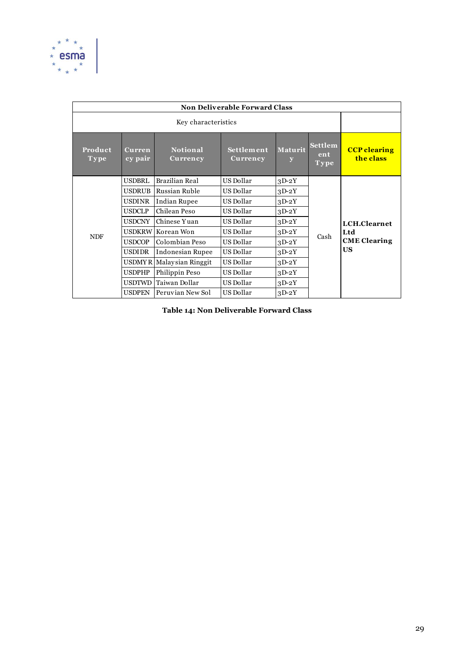

|                 |                   |                             | <b>Non Deliverable Forward Class</b> |                |                               |                                  |  |  |  |
|-----------------|-------------------|-----------------------------|--------------------------------------|----------------|-------------------------------|----------------------------------|--|--|--|
|                 |                   | Key characteristics         |                                      |                |                               |                                  |  |  |  |
| Product<br>Type | Curren<br>cy pair | <b>Notional</b><br>Currency | Settlement<br>Currency               | <b>Maturit</b> | <b>Settlem</b><br>ent<br>Type | <b>CCP</b> clearing<br>the class |  |  |  |
|                 | <b>USDBRL</b>     | Brazilian Real              | US Dollar                            | $3D-2Y$        |                               |                                  |  |  |  |
|                 | <b>USDRUB</b>     | Russian Ruble               | US Dollar                            | $3D-2Y$        |                               |                                  |  |  |  |
|                 | <b>USDINR</b>     | <b>Indian Rupee</b>         | US Dollar                            | $3D-2Y$        |                               |                                  |  |  |  |
|                 | <b>USDCLP</b>     | Chilean Peso                | US Dollar                            | $3D-2Y$        |                               |                                  |  |  |  |
|                 | <b>USDCNY</b>     | Chinese Yuan                | US Dollar                            | $3D-2Y$        |                               | LCH.Clearnet                     |  |  |  |
| <b>NDF</b>      | <b>USDKRW</b>     | Korean Won                  | US Dollar                            | $3D-2Y$        | Cash                          | Ltd                              |  |  |  |
|                 | <b>USDCOP</b>     | Colombian Peso              | US Dollar                            | $3D-2Y$        |                               | <b>CME</b> Clearing              |  |  |  |
|                 | <b>USDIDR</b>     | Indonesian Rupee            | US Dollar                            | $3D-2Y$        |                               | US                               |  |  |  |
|                 |                   | USDMYR Malaysian Ringgit    | US Dollar                            | $3D-2Y$        |                               |                                  |  |  |  |
|                 | <b>USDPHP</b>     | Philippin Peso              | US Dollar                            | $3D-2Y$        |                               |                                  |  |  |  |
|                 | <b>USDTWD</b>     | Taiwan Dollar               | US Dollar                            | $3D-2Y$        |                               |                                  |  |  |  |
|                 | <b>USDPEN</b>     | Peruvian New Sol            | US Dollar                            | $3D-2Y$        |                               |                                  |  |  |  |

**Table 14: Non Deliverable Forward Class**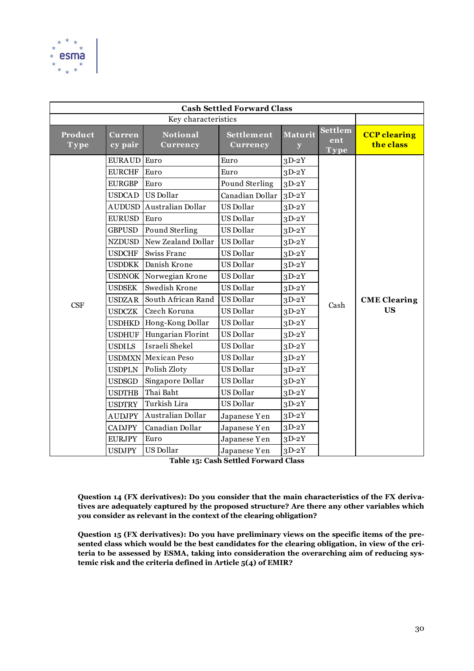

|                        |                   |                             | <b>Cash Settled Forward Class</b>    |                      |                               |                                  |  |
|------------------------|-------------------|-----------------------------|--------------------------------------|----------------------|-------------------------------|----------------------------------|--|
|                        |                   | Key characteristics         |                                      |                      |                               |                                  |  |
| Product<br><b>Type</b> | Curren<br>cy pair | <b>Notional</b><br>Currency | <b>Settlement</b><br>Currency        | Maturit<br>${\bf y}$ | <b>Settlem</b><br>ent<br>Type | <b>CCP</b> clearing<br>the class |  |
|                        | EURAUD Euro       |                             | Euro                                 | $3D-2Y$              |                               |                                  |  |
|                        | <b>EURCHF</b>     | Euro                        | Euro                                 | $3D-2Y$              |                               |                                  |  |
|                        | <b>EURGBP</b>     | Euro                        | Pound Sterling                       | $3D-2Y$              |                               |                                  |  |
|                        | <b>USDCAD</b>     | US Dollar                   | Canadian Dollar                      | $3D-2Y$              |                               |                                  |  |
|                        | <b>AUDUSD</b>     | Australian Dollar           | <b>US Dollar</b>                     | $3D-2Y$              |                               |                                  |  |
|                        | <b>EURUSD</b>     | Euro                        | <b>US Dollar</b>                     | $3D-2Y$              |                               |                                  |  |
|                        | <b>GBPUSD</b>     | Pound Sterling              | <b>US Dollar</b>                     | $3D-2Y$              |                               |                                  |  |
|                        | <b>NZDUSD</b>     | New Zealand Dollar          | US Dollar                            | $3D-2Y$              |                               |                                  |  |
|                        | <b>USDCHF</b>     | <b>Swiss Franc</b>          | <b>US Dollar</b>                     | $3D-2Y$              |                               |                                  |  |
|                        | <b>USDDKK</b>     | Danish Krone                | US Dollar                            | $3D-2Y$              |                               |                                  |  |
|                        |                   | USDNOK Norwegian Krone      | US Dollar                            | $3D-2Y$              |                               |                                  |  |
|                        | <b>USDSEK</b>     | Swedish Krone               | <b>US Dollar</b>                     | $3D-2Y$              |                               |                                  |  |
| <b>CSF</b>             | <b>USDZAR</b>     | South African Rand          | <b>US Dollar</b>                     | $3D-2Y$              | Cash                          | <b>CME Clearing</b>              |  |
|                        | <b>USDCZK</b>     | Czech Koruna                | <b>US Dollar</b>                     | $3D-2Y$              |                               | <b>US</b>                        |  |
|                        | <b>USDHKD</b>     | Hong-Kong Dollar            | <b>US Dollar</b>                     | $3D-2Y$              |                               |                                  |  |
|                        | <b>USDHUF</b>     | Hungarian Florint           | US Dollar                            | $3D-2Y$              |                               |                                  |  |
|                        | <b>USDILS</b>     | Israeli Shekel              | <b>US Dollar</b>                     | $3D-2Y$              |                               |                                  |  |
|                        |                   | USDMXN Mexican Peso         | <b>US Dollar</b>                     | $3D-2Y$              |                               |                                  |  |
|                        | <b>USDPLN</b>     | Polish Zloty                | <b>US Dollar</b>                     | $3D-2Y$              |                               |                                  |  |
|                        | <b>USDSGD</b>     | Singapore Dollar            | <b>US Dollar</b>                     | $3D-2Y$              |                               |                                  |  |
|                        | <b>USDTHB</b>     | Thai Baht                   | <b>US Dollar</b>                     | $3D-2Y$              |                               |                                  |  |
|                        | <b>USDTRY</b>     | Turkish Lira                | US Dollar                            | $3D-2Y$              |                               |                                  |  |
|                        | <b>AUDJPY</b>     | Australian Dollar           | Japanese Yen                         | $3D-2Y$              |                               |                                  |  |
|                        | <b>CADJPY</b>     | Canadian Dollar             | Japanese Yen                         | $3D-2Y$              |                               |                                  |  |
|                        | <b>EURJPY</b>     | Euro                        | Japanese Yen                         | $3D-2Y$              |                               |                                  |  |
|                        | <b>USDJPY</b>     | US Dollar                   | Japanese Yen                         | $3D-2Y$              |                               |                                  |  |
|                        |                   |                             | Table 15: Cash Settled Forward Class |                      |                               |                                  |  |

**Question 14 (FX derivatives): Do you consider that the main characteristics of the FX derivatives are adequately captured by the proposed structure? Are there any other variables which you consider as relevant in the context of the clearing obligation?**

**Question 15 (FX derivatives): Do you have preliminary views on the specific items of the presented class which would be the best candidates for the clearing obligation, in view of the criteria to be assessed by ESMA, taking into consideration the overarching aim of reducing systemic risk and the criteria defined in Article 5(4) of EMIR?**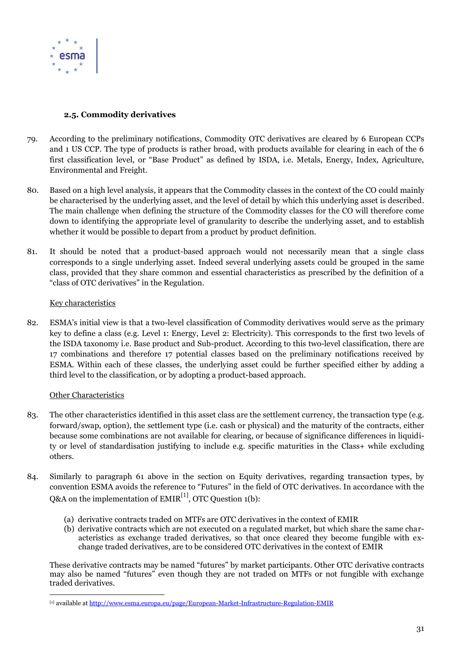

#### **2.5. Commodity derivatives**

- 79. According to the preliminary notifications, Commodity OTC derivatives are cleared by 6 European CCPs and 1 US CCP. The type of products is rather broad, with products available for clearing in each of the 6 first classification level, or "Base Product" as defined by ISDA, i.e. Metals, Energy, Index, Agriculture, Environmental and Freight.
- 80. Based on a high level analysis, it appears that the Commodity classes in the context of the CO could mainly be characterised by the underlying asset, and the level of detail by which this underlying asset is described. The main challenge when defining the structure of the Commodity classes for the CO will therefore come down to identifying the appropriate level of granularity to describe the underlying asset, and to establish whether it would be possible to depart from a product by product definition.
- 81. It should be noted that a product-based approach would not necessarily mean that a single class corresponds to a single underlying asset. Indeed several underlying assets could be grouped in the same class, provided that they share common and essential characteristics as prescribed by the definition of a "class of OTC derivatives" in the Regulation.

## Key characteristics

82. ESMA's initial view is that a two-level classification of Commodity derivatives would serve as the primary key to define a class (e.g. Level 1: Energy, Level 2: Electricity). This corresponds to the first two levels of the ISDA taxonomy i.e. Base product and Sub-product. According to this two-level classification, there are 17 combinations and therefore 17 potential classes based on the preliminary notifications received by ESMA. Within each of these classes, the underlying asset could be further specified either by adding a third level to the classification, or by adopting a product-based approach.

#### Other Characteristics

- 83. The other characteristics identified in this asset class are the settlement currency, the transaction type (e.g. forward/swap, option), the settlement type (i.e. cash or physical) and the maturity of the contracts, either because some combinations are not available for clearing, or because of significance differences in liquidity or level of standardisation justifying to include e.g. specific maturities in the Class+ while excluding others.
- 84. Similarly to paragraph [61 above](#page-23-0) in the section on Equity derivatives, regarding transaction types, by convention ESMA avoids the reference to "Futures" in the field of OTC derivatives. In accordance with the Q&A on the implementation of  $EMIR<sup>[1]</sup>$ , OTC Question 1(b):
	- (a) derivative contracts traded on MTFs are OTC derivatives in the context of EMIR
	- (b) derivative contracts which are not executed on a regulated market, but which share the same characteristics as exchange traded derivatives, so that once cleared they become fungible with exchange traded derivatives, are to be considered OTC derivatives in the context of EMIR

These derivative contracts may be named "futures" by market participants. Other OTC derivative contracts may also be named "futures" even though they are not traded on MTFs or not fungible with exchange traded derivatives.

 $\overline{a}$ [1] available a[t http://www.esma.europa.eu/page/European-Market-Infrastructure-Regulation-EMIR](http://www.esma.europa.eu/page/European-Market-Infrastructure-Regulation-EMIR)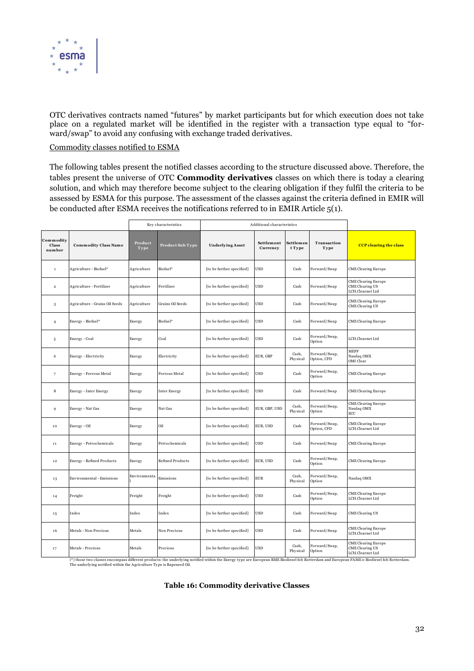

OTC derivatives contracts named "futures" by market participants but for which execution does not take place on a regulated market will be identified in the register with a transaction type equal to "forward/swap" to avoid any confusing with exchange traded derivatives.

#### Commodity classes notified to ESMA

The following tables present the notified classes according to the structure discussed above. Therefore, the tables present the universe of OTC **Commodity derivatives** classes on which there is today a clearing solution, and which may therefore become subject to the clearing obligation if they fulfil the criteria to be assessed by ESMA for this purpose. The assessment of the classes against the criteria defined in EMIR will erefore become subject to the clearing oblig<br>
urpose. The assessment of the classes again<br>
receives the notifications referred to in EMIR<br>
Key characteristics

|                              | be conducted after ESMA receives the notifications referred to in EMIR Article $5(1)$ . |                 |                         |                           |                            |                     |                              |                                                                                                                                                                                          |
|------------------------------|-----------------------------------------------------------------------------------------|-----------------|-------------------------|---------------------------|----------------------------|---------------------|------------------------------|------------------------------------------------------------------------------------------------------------------------------------------------------------------------------------------|
|                              |                                                                                         |                 | Key characteristics     |                           | Additional characteristics |                     |                              |                                                                                                                                                                                          |
| Commodity<br>Class<br>number | <b>Commodity Class Name</b>                                                             | Product<br>Type | Product Sub Type        | <b>Underlying Asset</b>   | Settlement<br>Currency     | Settlemen<br>t Type | Transaction<br>Type          | <b>CCP</b> clearing the class                                                                                                                                                            |
| $\,$ 1                       | Agriculture - Biofuel*                                                                  | Agriculture     | Biofuel*                | [to be further specified] | <b>USD</b>                 | Cash                | Forward/Swap                 | <b>CME</b> Clearing Europe                                                                                                                                                               |
| $\,$                         | Agriculture - Fertilizer                                                                | Agriculture     | Fertilizer              | [to be further specified] | <b>USD</b>                 | Cash                | Forward/Swap                 | <b>CME Clearing Europe</b><br><b>CME</b> Clearing US<br>LCH.Clearnet Ltd                                                                                                                 |
| $\,$ 3                       | Agriculture - Grains Oil Seeds                                                          | Agriculture     | Grains Oil Seeds        | [to be further specified] | <b>USD</b>                 | Cash                | Forward/Swap                 | <b>CME Clearing Europe</b><br><b>CME</b> Clearing US                                                                                                                                     |
| $\overline{4}$               | Energy - Biofuel*                                                                       | Energy          | Biofuel*                | [to be further specified] | <b>USD</b>                 | Cash                | Forward/Swap                 | <b>CME</b> Clearing Europe                                                                                                                                                               |
| 5                            | Energy - Coal                                                                           | Energy          | Coal                    | [to be further specified] | <b>USD</b>                 | Cash                | Forward/Swap,<br>Option      | LCH.Clearnet Ltd                                                                                                                                                                         |
| 6                            | Energy - Electricity                                                                    | Energy          | Electricity             | [to be further specified] | EUR, GBP                   | Cash,<br>Physical   | Forward/Swap,<br>Option, CFD | MEFF<br>Nasdaq OMX<br><b>OMI</b> Clear                                                                                                                                                   |
| $\overline{\phantom{a}}$     | Energy - Ferrous Metal                                                                  | Energy          | Ferrous Metal           | [to be further specified] | <b>USD</b>                 | Cash                | Forward/Swap,<br>Option      | <b>CME Clearing Europe</b>                                                                                                                                                               |
| $\,$ 8 $\,$                  | Energy - Inter Energy                                                                   | Energy          | <b>Inter Energy</b>     | [to be further specified] | <b>USD</b>                 | Cash                | Forward/Swap                 | <b>CME</b> Clearing Europe                                                                                                                                                               |
| 9                            | Energy - Nat Gas                                                                        | Energy          | Nat Gas                 | [to be further specified] | EUR, GBP, USD              | Cash,<br>Physical   | Forward/Swap,<br>Option      | <b>CME Clearing Europe</b><br>Nasdaq OMX<br>ECC                                                                                                                                          |
| $10\,$                       | Energy - Oil                                                                            | Energy          | Oil                     | [to be further specified] | EUR, USD                   | Cash                | Forward/Swap,<br>Option, CFD | CME Clearing Europe<br>LCH.Clearnet Ltd                                                                                                                                                  |
| 11                           | Energy - Petrochemicals                                                                 | Energy          | Petrochemicals          | [to be further specified] | <b>USD</b>                 | Cash                | Forward/Swap                 | <b>CME Clearing Europe</b>                                                                                                                                                               |
| $1\,2$                       | Energy - Refined Products                                                               | Energy          | <b>Refined Products</b> | [to be further specified] | EUR, USD                   | Cash                | Forward/Swap,<br>Option      | <b>CME</b> Clearing Europe                                                                                                                                                               |
| 13                           | <b>Environmental</b> - Emissions                                                        | Environmenta    | Emissions               | [to be further specified] | ${\rm EUR}$                | Cash,<br>Physical   | Forward/Swap,<br>Option      | Nasdaq OMX                                                                                                                                                                               |
| 14                           | Freight                                                                                 | Freight         | Freight                 | [to be further specified] | <b>USD</b>                 | Cash                | Forward/Swap,<br>Option      | CME Clearing Europe<br>LCH.Clearnet Ltd                                                                                                                                                  |
| 15                           | Index                                                                                   | Index           | Index                   | [to be further specified] | <b>USD</b>                 | Cash                | Forward/Swap                 | <b>CME</b> Clearing US                                                                                                                                                                   |
| 16                           | Metals - Non Precious                                                                   | Metals          | Non Precious            | [to be further specified] | <b>USD</b>                 | Cash                | Forward/Swap                 | CME Clearing Europe<br>LCH.Clearnet Ltd                                                                                                                                                  |
| 17                           | Metals - Precious                                                                       | Metals          | Precious                | [to be further specified] | <b>USD</b>                 | Cash,<br>Physical   | Forward/Swap,<br>Option      | CME Clearing Europe<br>CME Clearing US<br>LCH.Clearnet Ltd                                                                                                                               |
|                              | The underlying notified within the Agriculture Type is Rapeseed Oil.                    |                 |                         |                           |                            |                     |                              | (*) those two classes encompass different products: the underlying notified within the Energy type are European RME Biodiesel fob Rotterdam and European FAME o Biodiesel fob Rotterdam. |

#### **Table 16: Commodity derivative Classes**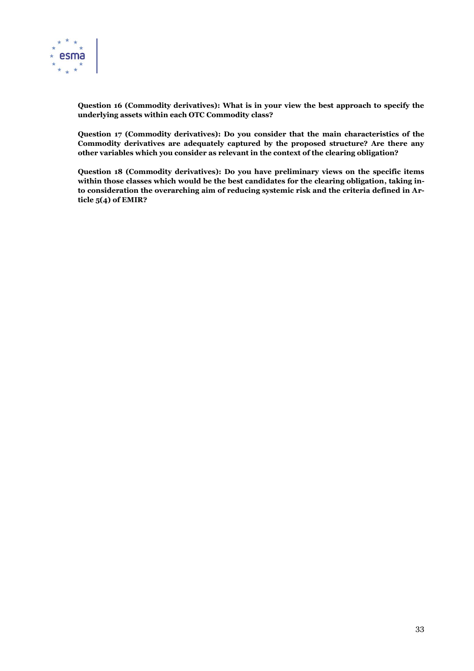

**Question 16 (Commodity derivatives): What is in your view the best approach to specify the underlying assets within each OTC Commodity class?**

**Question 17 (Commodity derivatives): Do you consider that the main characteristics of the Commodity derivatives are adequately captured by the proposed structure? Are there any other variables which you consider as relevant in the context of the clearing obligation?**

**Question 18 (Commodity derivatives): Do you have preliminary views on the specific items within those classes which would be the best candidates for the clearing obligation, taking into consideration the overarching aim of reducing systemic risk and the criteria defined in Article 5(4) of EMIR?**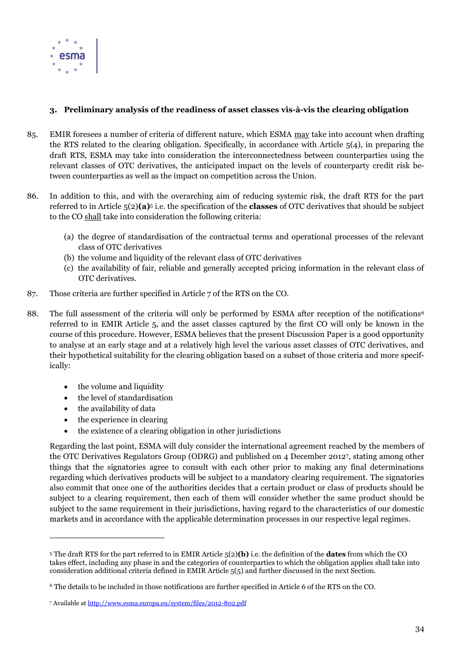

# <span id="page-33-0"></span>**3. Preliminary analysis of the readiness of asset classes vis-à-vis the clearing obligation**

- 85. EMIR foresees a number of criteria of different nature, which ESMA may take into account when drafting the RTS related to the clearing obligation. Specifically, in accordance with Article 5(4), in preparing the draft RTS, ESMA may take into consideration the interconnectedness between counterparties using the relevant classes of OTC derivatives, the anticipated impact on the levels of counterparty credit risk between counterparties as well as the impact on competition across the Union.
- 86. In addition to this, and with the overarching aim of reducing systemic risk, the draft RTS for the part referred to in Article 5(2)**(a)**<sup>5</sup> i.e. the specification of the **classes** of OTC derivatives that should be subject to the CO shall take into consideration the following criteria:
	- (a) the degree of standardisation of the contractual terms and operational processes of the relevant class of OTC derivatives
	- (b) the volume and liquidity of the relevant class of OTC derivatives
	- (c) the availability of fair, reliable and generally accepted pricing information in the relevant class of OTC derivatives.
- 87. Those criteria are further specified in Article 7 of the RTS on the CO.
- 88. The full assessment of the criteria will only be performed by ESMA after reception of the notifications<sup>6</sup> referred to in EMIR Article 5, and the asset classes captured by the first CO will only be known in the course of this procedure. However, ESMA believes that the present Discussion Paper is a good opportunity to analyse at an early stage and at a relatively high level the various asset classes of OTC derivatives, and their hypothetical suitability for the clearing obligation based on a subset of those criteria and more specifically:
	- the volume and liquidity
	- the level of standardisation
	- the availability of data

 $\overline{a}$ 

- the experience in clearing
- the existence of a clearing obligation in other jurisdictions

Regarding the last point, ESMA will duly consider the international agreement reached by the members of the OTC Derivatives Regulators Group (ODRG) and published on 4 December 2012<sup>7</sup> , stating among other things that the signatories agree to consult with each other prior to making any final determinations regarding which derivatives products will be subject to a mandatory clearing requirement. The signatories also commit that once one of the authorities decides that a certain product or class of products should be subject to a clearing requirement, then each of them will consider whether the same product should be subject to the same requirement in their jurisdictions, having regard to the characteristics of our domestic markets and in accordance with the applicable determination processes in our respective legal regimes.

<sup>5</sup> The draft RTS for the part referred to in EMIR Article 5(2)**(b)** i.e. the definition of the **dates** from which the CO takes effect, including any phase in and the categories of counterparties to which the obligation applies shall take into consideration additional criteria defined in EMIR Article 5(5) and further discussed in the next Section.

<sup>6</sup> The details to be included in those notifications are further specified in Article 6 of the RTS on the CO.

<sup>7</sup> Available a[t http://www.esma.europa.eu/system/files/2012-802.pdf](http://www.esma.europa.eu/system/files/2012-802.pdf)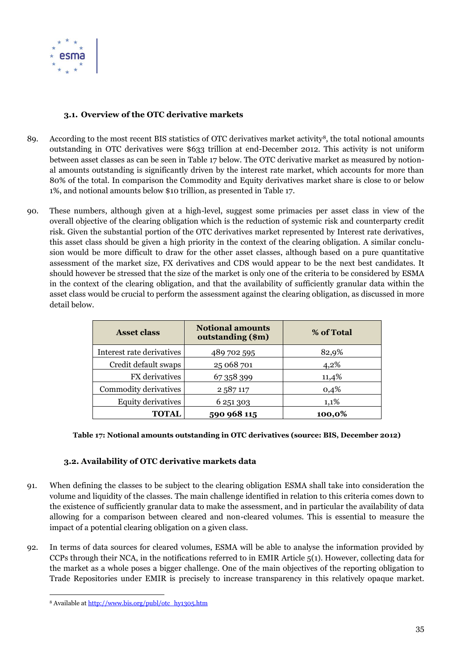

# **3.1. Overview of the OTC derivative markets**

- 89. According to the most recent BIS statistics of OTC derivatives market activity<sup>8</sup>, the total notional amounts outstanding in OTC derivatives were \$633 trillion at end-December 2012. This activity is not uniform between asset classes as can be seen in [Table 17](#page-34-0) below. The OTC derivative market as measured by notional amounts outstanding is significantly driven by the interest rate market, which accounts for more than 80% of the total. In comparison the Commodity and Equity derivatives market share is close to or below 1%, and notional amounts below \$10 trillion, as presented in [Table 17.](#page-34-0)
- 90. These numbers, although given at a high-level, suggest some primacies per asset class in view of the overall objective of the clearing obligation which is the reduction of systemic risk and counterparty credit risk. Given the substantial portion of the OTC derivatives market represented by Interest rate derivatives, this asset class should be given a high priority in the context of the clearing obligation. A similar conclusion would be more difficult to draw for the other asset classes, although based on a pure quantitative assessment of the market size, FX derivatives and CDS would appear to be the next best candidates. It should however be stressed that the size of the market is only one of the criteria to be considered by ESMA in the context of the clearing obligation, and that the availability of sufficiently granular data within the asset class would be crucial to perform the assessment against the clearing obligation, as discussed in more detail below.

| <b>Asset class</b>        | <b>Notional amounts</b><br>outstanding (\$m) | % of Total |
|---------------------------|----------------------------------------------|------------|
| Interest rate derivatives | 489 702 595                                  | 82,9%      |
| Credit default swaps      | 25 068 701                                   | 4,2%       |
| FX derivatives            | 67 358 399                                   | 11,4%      |
| Commodity derivatives     | 2 587 117                                    | 0,4%       |
| <b>Equity derivatives</b> | 6 251 303                                    | 1,1%       |
| TOTAL                     | 590 968 115                                  | 100,0%     |

#### <span id="page-34-0"></span>**Table 17: Notional amounts outstanding in OTC derivatives (source: BIS, December 2012)**

# **3.2. Availability of OTC derivative markets data**

- 91. When defining the classes to be subject to the clearing obligation ESMA shall take into consideration the volume and liquidity of the classes. The main challenge identified in relation to this criteria comes down to the existence of sufficiently granular data to make the assessment, and in particular the availability of data allowing for a comparison between cleared and non-cleared volumes. This is essential to measure the impact of a potential clearing obligation on a given class.
- 92. In terms of data sources for cleared volumes, ESMA will be able to analyse the information provided by CCPs through their NCA, in the notifications referred to in EMIR Article 5(1). However, collecting data for the market as a whole poses a bigger challenge. One of the main objectives of the reporting obligation to Trade Repositories under EMIR is precisely to increase transparency in this relatively opaque market.

 $\overline{a}$ <sup>8</sup> Available a[t http://www.bis.org/publ/otc\\_hy1305.htm](http://www.bis.org/publ/otc_hy1305.htm)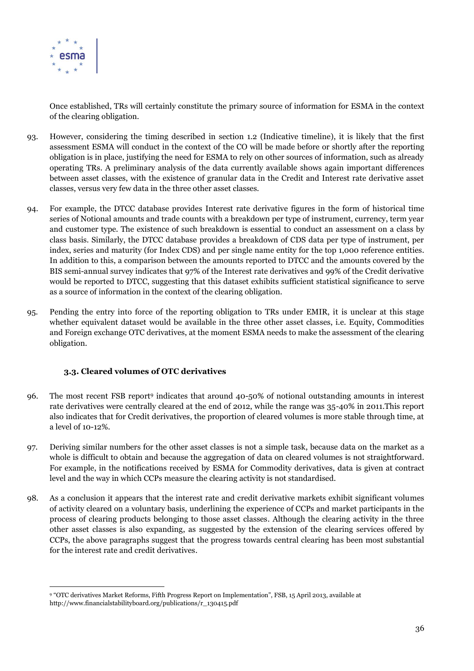

 $\overline{a}$ 

Once established, TRs will certainly constitute the primary source of information for ESMA in the context of the clearing obligation.

- 93. However, considering the timing described in section [1.2](#page-9-0) [\(Indicative timeline\)](#page-9-0), it is likely that the first assessment ESMA will conduct in the context of the CO will be made before or shortly after the reporting obligation is in place, justifying the need for ESMA to rely on other sources of information, such as already operating TRs. A preliminary analysis of the data currently available shows again important differences between asset classes, with the existence of granular data in the Credit and Interest rate derivative asset classes, versus very few data in the three other asset classes.
- 94. For example, the DTCC database provides Interest rate derivative figures in the form of historical time series of Notional amounts and trade counts with a breakdown per type of instrument, currency, term year and customer type. The existence of such breakdown is essential to conduct an assessment on a class by class basis. Similarly, the DTCC database provides a breakdown of CDS data per type of instrument, per index, series and maturity (for Index CDS) and per single name entity for the top 1,000 reference entities. In addition to this, a comparison between the amounts reported to DTCC and the amounts covered by the BIS semi-annual survey indicates that 97% of the Interest rate derivatives and 99% of the Credit derivative would be reported to DTCC, suggesting that this dataset exhibits sufficient statistical significance to serve as a source of information in the context of the clearing obligation.
- 95. Pending the entry into force of the reporting obligation to TRs under EMIR, it is unclear at this stage whether equivalent dataset would be available in the three other asset classes, i.e. Equity, Commodities and Foreign exchange OTC derivatives, at the moment ESMA needs to make the assessment of the clearing obligation.

#### **3.3. Cleared volumes of OTC derivatives**

- 96. The most recent FSB report<sup>9</sup> indicates that around 40-50% of notional outstanding amounts in interest rate derivatives were centrally cleared at the end of 2012, while the range was 35-40% in 2011.This report also indicates that for Credit derivatives, the proportion of cleared volumes is more stable through time, at a level of 10-12%.
- 97. Deriving similar numbers for the other asset classes is not a simple task, because data on the market as a whole is difficult to obtain and because the aggregation of data on cleared volumes is not straightforward. For example, in the notifications received by ESMA for Commodity derivatives, data is given at contract level and the way in which CCPs measure the clearing activity is not standardised.
- 98. As a conclusion it appears that the interest rate and credit derivative markets exhibit significant volumes of activity cleared on a voluntary basis, underlining the experience of CCPs and market participants in the process of clearing products belonging to those asset classes. Although the clearing activity in the three other asset classes is also expanding, as suggested by the extension of the clearing services offered by CCPs, the above paragraphs suggest that the progress towards central clearing has been most substantial for the interest rate and credit derivatives.

<sup>9</sup> "OTC derivatives Market Reforms, Fifth Progress Report on Implementation", FSB, 15 April 2013, available at http://www.financialstabilityboard.org/publications/r\_130415.pdf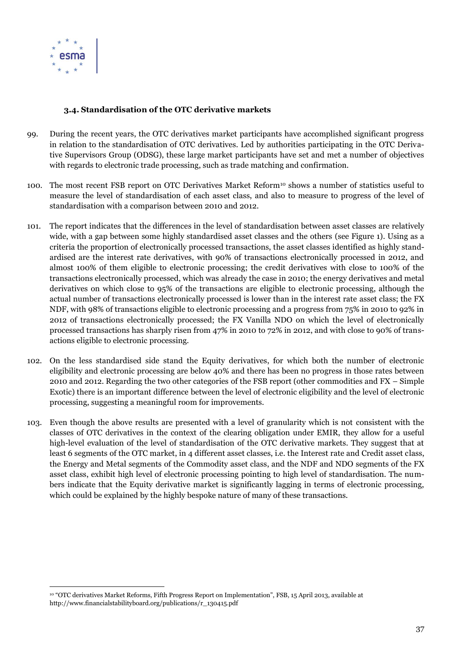

 $\overline{a}$ 

# **3.4. Standardisation of the OTC derivative markets**

- 99. During the recent years, the OTC derivatives market participants have accomplished significant progress in relation to the standardisation of OTC derivatives. Led by authorities participating in the OTC Derivative Supervisors Group (ODSG), these large market participants have set and met a number of objectives with regards to electronic trade processing, such as trade matching and confirmation.
- 100. The most recent FSB report on OTC Derivatives Market Reform<sup>10</sup> shows a number of statistics useful to measure the level of standardisation of each asset class, and also to measure to progress of the level of standardisation with a comparison between 2010 and 2012.
- 101. The report indicates that the differences in the level of standardisation between asset classes are relatively wide, with a gap between some highly standardised asset classes and the others (see [Figure 1\)](#page-37-0). Using as a criteria the proportion of electronically processed transactions, the asset classes identified as highly standardised are the interest rate derivatives, with 90% of transactions electronically processed in 2012, and almost 100% of them eligible to electronic processing; the credit derivatives with close to 100% of the transactions electronically processed, which was already the case in 2010; the energy derivatives and metal derivatives on which close to 95% of the transactions are eligible to electronic processing, although the actual number of transactions electronically processed is lower than in the interest rate asset class; the FX NDF, with 98% of transactions eligible to electronic processing and a progress from 75% in 2010 to 92% in 2012 of transactions electronically processed; the FX Vanilla NDO on which the level of electronically processed transactions has sharply risen from 47% in 2010 to 72% in 2012, and with close to 90% of transactions eligible to electronic processing.
- 102. On the less standardised side stand the Equity derivatives, for which both the number of electronic eligibility and electronic processing are below 40% and there has been no progress in those rates between 2010 and 2012. Regarding the two other categories of the FSB report (other commodities and FX – Simple Exotic) there is an important difference between the level of electronic eligibility and the level of electronic processing, suggesting a meaningful room for improvements.
- 103. Even though the above results are presented with a level of granularity which is not consistent with the classes of OTC derivatives in the context of the clearing obligation under EMIR, they allow for a useful high-level evaluation of the level of standardisation of the OTC derivative markets. They suggest that at least 6 segments of the OTC market, in 4 different asset classes, i.e. the Interest rate and Credit asset class, the Energy and Metal segments of the Commodity asset class, and the NDF and NDO segments of the FX asset class, exhibit high level of electronic processing pointing to high level of standardisation. The numbers indicate that the Equity derivative market is significantly lagging in terms of electronic processing, which could be explained by the highly bespoke nature of many of these transactions.

<sup>10</sup> "OTC derivatives Market Reforms, Fifth Progress Report on Implementation", FSB, 15 April 2013, available at http://www.financialstabilityboard.org/publications/r\_130415.pdf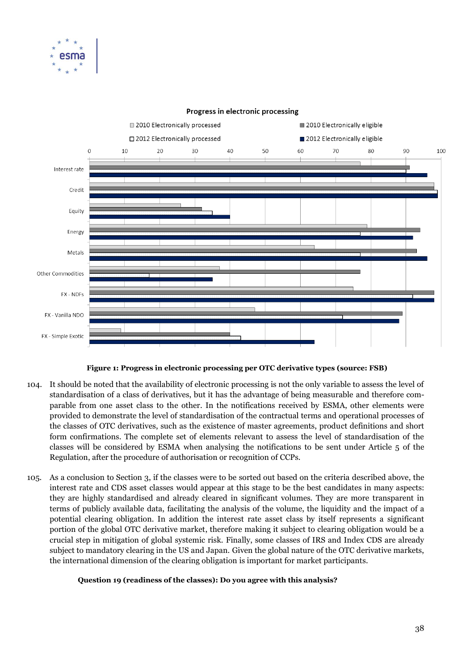



Progress in electronic processing

**Figure 1: Progress in electronic processing per OTC derivative types (source: FSB)**

- <span id="page-37-0"></span>104. It should be noted that the availability of electronic processing is not the only variable to assess the level of standardisation of a class of derivatives, but it has the advantage of being measurable and therefore comparable from one asset class to the other. In the notifications received by ESMA, other elements were provided to demonstrate the level of standardisation of the contractual terms and operational processes of the classes of OTC derivatives, such as the existence of master agreements, product definitions and short form confirmations. The complete set of elements relevant to assess the level of standardisation of the classes will be considered by ESMA when analysing the notifications to be sent under Article 5 of the Regulation, after the procedure of authorisation or recognition of CCPs.
- 105. As a conclusion to Section 3, if the classes were to be sorted out based on the criteria described above, the interest rate and CDS asset classes would appear at this stage to be the best candidates in many aspects: they are highly standardised and already cleared in significant volumes. They are more transparent in terms of publicly available data, facilitating the analysis of the volume, the liquidity and the impact of a potential clearing obligation. In addition the interest rate asset class by itself represents a significant portion of the global OTC derivative market, therefore making it subject to clearing obligation would be a crucial step in mitigation of global systemic risk. Finally, some classes of IRS and Index CDS are already subject to mandatory clearing in the US and Japan. Given the global nature of the OTC derivative markets, the international dimension of the clearing obligation is important for market participants.

#### **Question 19 (readiness of the classes): Do you agree with this analysis?**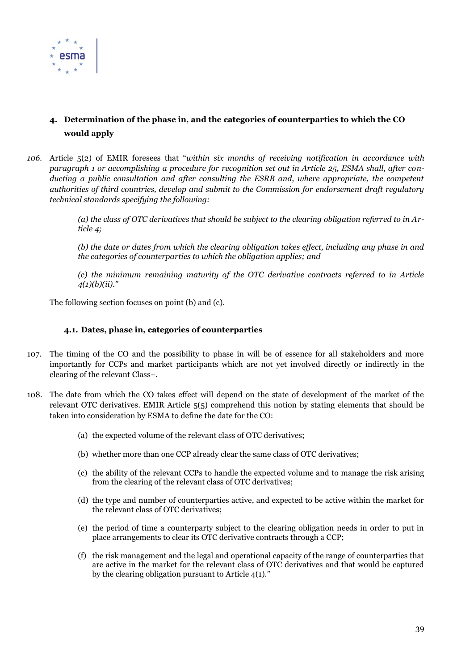

# <span id="page-38-0"></span>**4. Determination of the phase in, and the categories of counterparties to which the CO would apply**

*106.* Article 5(2) of EMIR foresees that "*within six months of receiving notification in accordance with paragraph 1 or accomplishing a procedure for recognition set out in Article 25, ESMA shall, after conducting a public consultation and after consulting the ESRB and, where appropriate, the competent authorities of third countries, develop and submit to the Commission for endorsement draft regulatory technical standards specifying the following:*

> *(a) the class of OTC derivatives that should be subject to the clearing obligation referred to in Article 4;*

> *(b) the date or dates from which the clearing obligation takes effect, including any phase in and the categories of counterparties to which the obligation applies; and*

> *(c) the minimum remaining maturity of the OTC derivative contracts referred to in Article 4(1)(b)(ii)."*

The following section focuses on point (b) and (c).

#### **4.1. Dates, phase in, categories of counterparties**

- 107. The timing of the CO and the possibility to phase in will be of essence for all stakeholders and more importantly for CCPs and market participants which are not yet involved directly or indirectly in the clearing of the relevant Class+.
- 108. The date from which the CO takes effect will depend on the state of development of the market of the relevant OTC derivatives. EMIR Article 5(5) comprehend this notion by stating elements that should be taken into consideration by ESMA to define the date for the CO:
	- (a) the expected volume of the relevant class of OTC derivatives;
	- (b) whether more than one CCP already clear the same class of OTC derivatives;
	- (c) the ability of the relevant CCPs to handle the expected volume and to manage the risk arising from the clearing of the relevant class of OTC derivatives;
	- (d) the type and number of counterparties active, and expected to be active within the market for the relevant class of OTC derivatives;
	- (e) the period of time a counterparty subject to the clearing obligation needs in order to put in place arrangements to clear its OTC derivative contracts through a CCP;
	- (f) the risk management and the legal and operational capacity of the range of counterparties that are active in the market for the relevant class of OTC derivatives and that would be captured by the clearing obligation pursuant to Article 4(1)."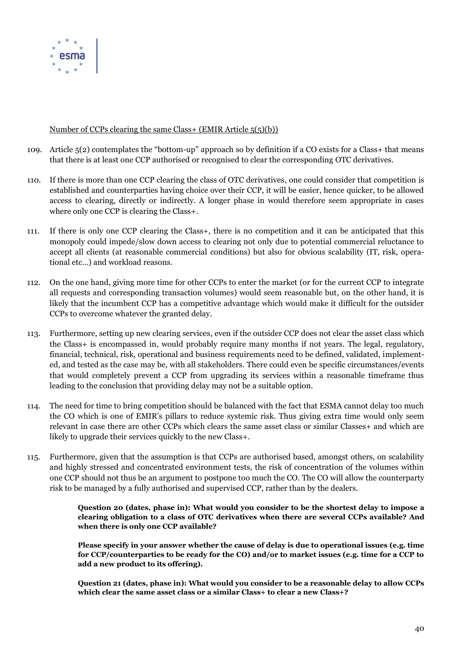

#### Number of CCPs clearing the same Class+ (EMIR Article 5(5)(b))

- 109. Article 5(2) contemplates the "bottom-up" approach so by definition if a CO exists for a Class+ that means that there is at least one CCP authorised or recognised to clear the corresponding OTC derivatives.
- 110. If there is more than one CCP clearing the class of OTC derivatives, one could consider that competition is established and counterparties having choice over their CCP, it will be easier, hence quicker, to be allowed access to clearing, directly or indirectly. A longer phase in would therefore seem appropriate in cases where only one CCP is clearing the Class+.
- 111. If there is only one CCP clearing the Class+, there is no competition and it can be anticipated that this monopoly could impede/slow down access to clearing not only due to potential commercial reluctance to accept all clients (at reasonable commercial conditions) but also for obvious scalability (IT, risk, operational etc…) and workload reasons.
- 112. On the one hand, giving more time for other CCPs to enter the market (or for the current CCP to integrate all requests and corresponding transaction volumes) would seem reasonable but, on the other hand, it is likely that the incumbent CCP has a competitive advantage which would make it difficult for the outsider CCPs to overcome whatever the granted delay.
- 113. Furthermore, setting up new clearing services, even if the outsider CCP does not clear the asset class which the Class+ is encompassed in, would probably require many months if not years. The legal, regulatory, financial, technical, risk, operational and business requirements need to be defined, validated, implemented, and tested as the case may be, with all stakeholders. There could even be specific circumstances/events that would completely prevent a CCP from upgrading its services within a reasonable timeframe thus leading to the conclusion that providing delay may not be a suitable option.
- 114. The need for time to bring competition should be balanced with the fact that ESMA cannot delay too much the CO which is one of EMIR's pillars to reduce systemic risk. Thus giving extra time would only seem relevant in case there are other CCPs which clears the same asset class or similar Classes+ and which are likely to upgrade their services quickly to the new Class+.
- 115. Furthermore, given that the assumption is that CCPs are authorised based, amongst others, on scalability and highly stressed and concentrated environment tests, the risk of concentration of the volumes within one CCP should not thus be an argument to postpone too much the CO. The CO will allow the counterparty risk to be managed by a fully authorised and supervised CCP, rather than by the dealers.

**Question 20 (dates, phase in): What would you consider to be the shortest delay to impose a clearing obligation to a class of OTC derivatives when there are several CCPs available? And when there is only one CCP available?** 

**Please specify in your answer whether the cause of delay is due to operational issues (e.g. time for CCP/counterparties to be ready for the CO) and/or to market issues (e.g. time for a CCP to add a new product to its offering).**

**Question 21 (dates, phase in): What would you consider to be a reasonable delay to allow CCPs which clear the same asset class or a similar Class+ to clear a new Class+?**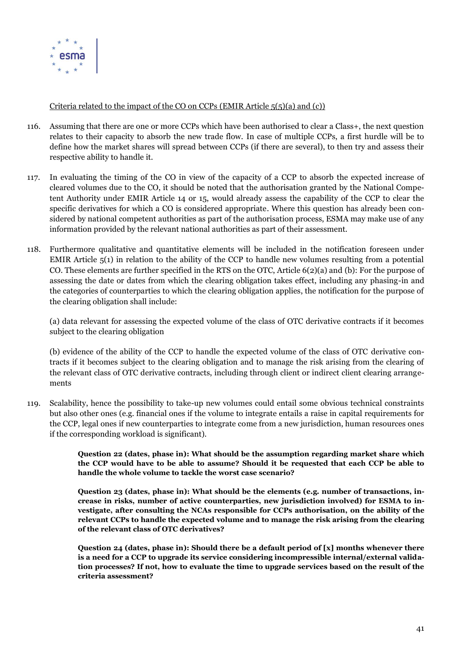

#### Criteria related to the impact of the CO on CCPs (EMIR Article 5(5)(a) and (c))

- 116. Assuming that there are one or more CCPs which have been authorised to clear a Class+, the next question relates to their capacity to absorb the new trade flow. In case of multiple CCPs, a first hurdle will be to define how the market shares will spread between CCPs (if there are several), to then try and assess their respective ability to handle it.
- 117. In evaluating the timing of the CO in view of the capacity of a CCP to absorb the expected increase of cleared volumes due to the CO, it should be noted that the authorisation granted by the National Competent Authority under EMIR Article 14 or 15, would already assess the capability of the CCP to clear the specific derivatives for which a CO is considered appropriate. Where this question has already been considered by national competent authorities as part of the authorisation process, ESMA may make use of any information provided by the relevant national authorities as part of their assessment.
- 118. Furthermore qualitative and quantitative elements will be included in the notification foreseen under EMIR Article 5(1) in relation to the ability of the CCP to handle new volumes resulting from a potential CO. These elements are further specified in the RTS on the OTC, Article 6(2)(a) and (b): For the purpose of assessing the date or dates from which the clearing obligation takes effect, including any phasing-in and the categories of counterparties to which the clearing obligation applies, the notification for the purpose of the clearing obligation shall include:

(a) data relevant for assessing the expected volume of the class of OTC derivative contracts if it becomes subject to the clearing obligation

(b) evidence of the ability of the CCP to handle the expected volume of the class of OTC derivative contracts if it becomes subject to the clearing obligation and to manage the risk arising from the clearing of the relevant class of OTC derivative contracts, including through client or indirect client clearing arrangements

119. Scalability, hence the possibility to take-up new volumes could entail some obvious technical constraints but also other ones (e.g. financial ones if the volume to integrate entails a raise in capital requirements for the CCP, legal ones if new counterparties to integrate come from a new jurisdiction, human resources ones if the corresponding workload is significant).

> **Question 22 (dates, phase in): What should be the assumption regarding market share which the CCP would have to be able to assume? Should it be requested that each CCP be able to handle the whole volume to tackle the worst case scenario?**

> **Question 23 (dates, phase in): What should be the elements (e.g. number of transactions, increase in risks, number of active counterparties, new jurisdiction involved) for ESMA to investigate, after consulting the NCAs responsible for CCPs authorisation, on the ability of the relevant CCPs to handle the expected volume and to manage the risk arising from the clearing of the relevant class of OTC derivatives?**

> **Question 24 (dates, phase in): Should there be a default period of [x] months whenever there is a need for a CCP to upgrade its service considering incompressible internal/external validation processes? If not, how to evaluate the time to upgrade services based on the result of the criteria assessment?**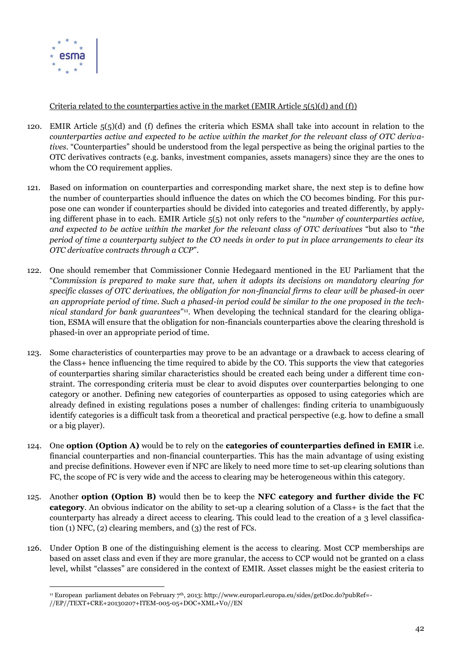

## Criteria related to the counterparties active in the market (EMIR Article  $5(5)(d)$  and (f))

- 120. EMIR Article 5(5)(d) and (f) defines the criteria which ESMA shall take into account in relation to the *counterparties active and expected to be active within the market for the relevant class of OTC derivatives*. "Counterparties" should be understood from the legal perspective as being the original parties to the OTC derivatives contracts (e.g. banks, investment companies, assets managers) since they are the ones to whom the CO requirement applies.
- 121. Based on information on counterparties and corresponding market share, the next step is to define how the number of counterparties should influence the dates on which the CO becomes binding. For this purpose one can wonder if counterparties should be divided into categories and treated differently, by applying different phase in to each. EMIR Article 5(5) not only refers to the "*number of counterparties active, and expected to be active within the market for the relevant class of OTC derivatives* "but also to "*the period of time a counterparty subject to the CO needs in order to put in place arrangements to clear its OTC derivative contracts through a CCP*".
- 122. One should remember that Commissioner Connie Hedegaard mentioned in the EU Parliament that the "*Commission is prepared to make sure that, when it adopts its decisions on mandatory clearing for specific classes of OTC derivatives, the obligation for non-financial firms to clear will be phased-in over an appropriate period of time. Such a phased-in period could be similar to the one proposed in the tech*nical standard for bank guarantees<sup>"11</sup>. When developing the technical standard for the clearing obligation, ESMA will ensure that the obligation for non-financials counterparties above the clearing threshold is phased-in over an appropriate period of time.
- 123. Some characteristics of counterparties may prove to be an advantage or a drawback to access clearing of the Class+ hence influencing the time required to abide by the CO. This supports the view that categories of counterparties sharing similar characteristics should be created each being under a different time constraint. The corresponding criteria must be clear to avoid disputes over counterparties belonging to one category or another. Defining new categories of counterparties as opposed to using categories which are already defined in existing regulations poses a number of challenges: finding criteria to unambiguously identify categories is a difficult task from a theoretical and practical perspective (e.g. how to define a small or a big player).
- 124. One **option (Option A)** would be to rely on the **categories of counterparties defined in EMIR** i.e. financial counterparties and non-financial counterparties. This has the main advantage of using existing and precise definitions. However even if NFC are likely to need more time to set-up clearing solutions than FC, the scope of FC is very wide and the access to clearing may be heterogeneous within this category.
- 125. Another **option (Option B)** would then be to keep the **NFC category and further divide the FC category**. An obvious indicator on the ability to set-up a clearing solution of a Class+ is the fact that the counterparty has already a direct access to clearing. This could lead to the creation of a 3 level classification (1) NFC, (2) clearing members, and (3) the rest of FCs.
- 126. Under Option B one of the distinguishing element is the access to clearing. Most CCP memberships are based on asset class and even if they are more granular, the access to CCP would not be granted on a class level, whilst "classes" are considered in the context of EMIR. Asset classes might be the easiest criteria to

 $\overline{a}$ 

<sup>&</sup>lt;sup>11</sup> European parliament debates on February 7<sup>th</sup>, 2013: http://www.europarl.europa.eu/sides/getDoc.do?pubRef=-

<sup>//</sup>EP//TEXT+CRE+20130207+ITEM-005-05+DOC+XML+V0//EN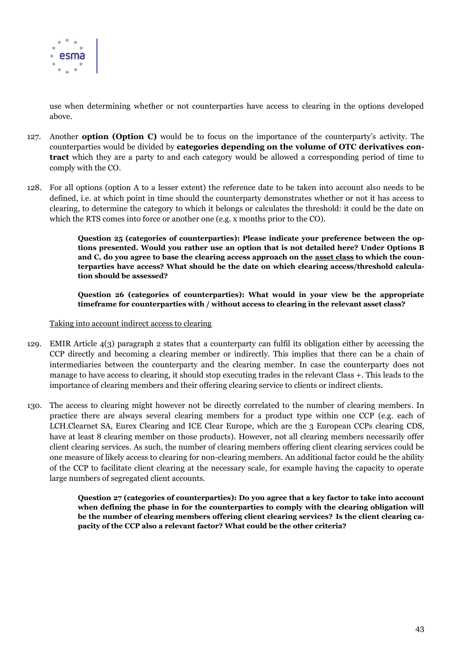

use when determining whether or not counterparties have access to clearing in the options developed above.

- 127. Another **option (Option C)** would be to focus on the importance of the counterparty's activity. The counterparties would be divided by **categories depending on the volume of OTC derivatives contract** which they are a party to and each category would be allowed a corresponding period of time to comply with the CO.
- 128. For all options (option A to a lesser extent) the reference date to be taken into account also needs to be defined, i.e. at which point in time should the counterparty demonstrates whether or not it has access to clearing, to determine the category to which it belongs or calculates the threshold: it could be the date on which the RTS comes into force or another one (e.g. x months prior to the CO).

**Question 25 (categories of counterparties): Please indicate your preference between the options presented. Would you rather use an option that is not detailed here? Under Options B and C, do you agree to base the clearing access approach on the asset class to which the counterparties have access? What should be the date on which clearing access/threshold calculation should be assessed?**

**Question 26 (categories of counterparties): What would in your view be the appropriate timeframe for counterparties with / without access to clearing in the relevant asset class?** 

#### Taking into account indirect access to clearing

- 129. EMIR Article 4(3) paragraph 2 states that a counterparty can fulfil its obligation either by accessing the CCP directly and becoming a clearing member or indirectly. This implies that there can be a chain of intermediaries between the counterparty and the clearing member. In case the counterparty does not manage to have access to clearing, it should stop executing trades in the relevant Class +. This leads to the importance of clearing members and their offering clearing service to clients or indirect clients.
- 130. The access to clearing might however not be directly correlated to the number of clearing members. In practice there are always several clearing members for a product type within one CCP (e.g. each of LCH.Clearnet SA, Eurex Clearing and ICE Clear Europe, which are the 3 European CCPs clearing CDS, have at least 8 clearing member on those products). However, not all clearing members necessarily offer client clearing services. As such, the number of clearing members offering client clearing services could be one measure of likely access to clearing for non-clearing members. An additional factor could be the ability of the CCP to facilitate client clearing at the necessary scale, for example having the capacity to operate large numbers of segregated client accounts.

**Question 27 (categories of counterparties): Do you agree that a key factor to take into account when defining the phase in for the counterparties to comply with the clearing obligation will be the number of clearing members offering client clearing services? Is the client clearing capacity of the CCP also a relevant factor? What could be the other criteria?**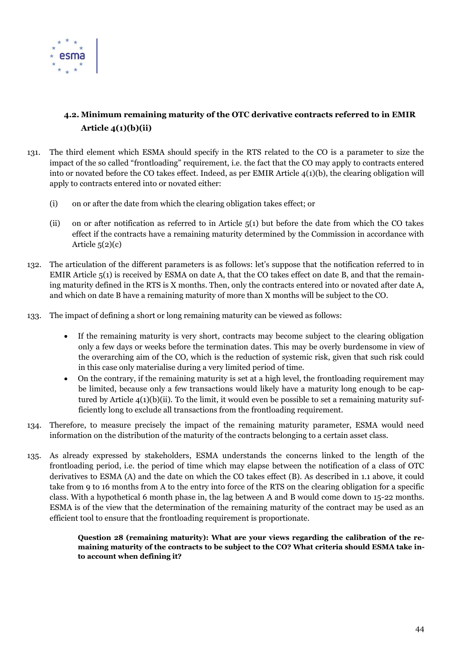

# **4.2. Minimum remaining maturity of the OTC derivative contracts referred to in EMIR Article 4(1)(b)(ii)**

- 131. The third element which ESMA should specify in the RTS related to the CO is a parameter to size the impact of the so called "frontloading" requirement, i.e. the fact that the CO may apply to contracts entered into or novated before the CO takes effect. Indeed, as per EMIR Article  $4(1)(b)$ , the clearing obligation will apply to contracts entered into or novated either:
	- (i) on or after the date from which the clearing obligation takes effect; or
	- (ii) on or after notification as referred to in Article 5(1) but before the date from which the CO takes effect if the contracts have a remaining maturity determined by the Commission in accordance with Article  $5(2)(c)$
- 132. The articulation of the different parameters is as follows: let's suppose that the notification referred to in EMIR Article 5(1) is received by ESMA on date A, that the CO takes effect on date B, and that the remaining maturity defined in the RTS is X months. Then, only the contracts entered into or novated after date A, and which on date B have a remaining maturity of more than X months will be subject to the CO.
- 133. The impact of defining a short or long remaining maturity can be viewed as follows:
	- If the remaining maturity is very short, contracts may become subject to the clearing obligation only a few days or weeks before the termination dates. This may be overly burdensome in view of the overarching aim of the CO, which is the reduction of systemic risk, given that such risk could in this case only materialise during a very limited period of time.
	- On the contrary, if the remaining maturity is set at a high level, the frontloading requirement may be limited, because only a few transactions would likely have a maturity long enough to be captured by Article 4(1)(b)(ii). To the limit, it would even be possible to set a remaining maturity sufficiently long to exclude all transactions from the frontloading requirement.
- 134. Therefore, to measure precisely the impact of the remaining maturity parameter, ESMA would need information on the distribution of the maturity of the contracts belonging to a certain asset class.
- 135. As already expressed by stakeholders, ESMA understands the concerns linked to the length of the frontloading period, i.e. the period of time which may elapse between the notification of a class of OTC derivatives to ESMA (A) and the date on which the CO takes effect (B). As described in [1.1 above,](#page-7-2) it could take from 9 to 16 months from A to the entry into force of the RTS on the clearing obligation for a specific class. With a hypothetical 6 month phase in, the lag between A and B would come down to 15-22 months. ESMA is of the view that the determination of the remaining maturity of the contract may be used as an efficient tool to ensure that the frontloading requirement is proportionate.

**Question 28 (remaining maturity): What are your views regarding the calibration of the remaining maturity of the contracts to be subject to the CO? What criteria should ESMA take into account when defining it?**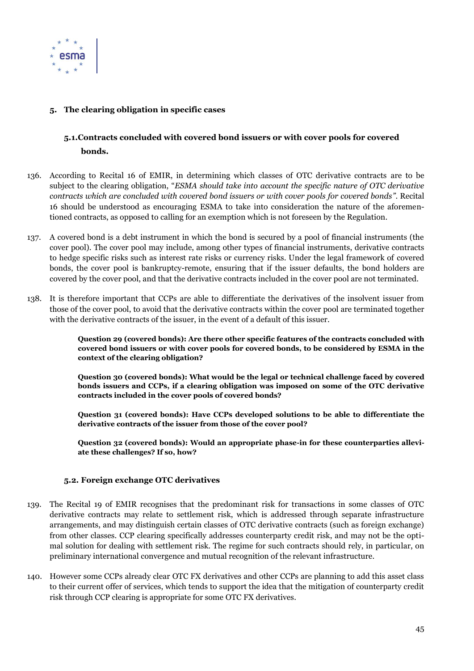

# <span id="page-44-0"></span>**5. The clearing obligation in specific cases**

# **5.1.Contracts concluded with covered bond issuers or with cover pools for covered bonds.**

- 136. According to Recital 16 of EMIR, in determining which classes of OTC derivative contracts are to be subject to the clearing obligation, "*ESMA should take into account the specific nature of OTC derivative contracts which are concluded with covered bond issuers or with cover pools for covered bonds"*. Recital 16 should be understood as encouraging ESMA to take into consideration the nature of the aforementioned contracts, as opposed to calling for an exemption which is not foreseen by the Regulation.
- 137. A covered bond is a debt instrument in which the bond is secured by a pool of financial instruments (the cover pool). The cover pool may include, among other types of financial instruments, derivative contracts to hedge specific risks such as interest rate risks or currency risks. Under the legal framework of covered bonds, the cover pool is bankruptcy-remote, ensuring that if the issuer defaults, the bond holders are covered by the cover pool, and that the derivative contracts included in the cover pool are not terminated.
- 138. It is therefore important that CCPs are able to differentiate the derivatives of the insolvent issuer from those of the cover pool, to avoid that the derivative contracts within the cover pool are terminated together with the derivative contracts of the issuer, in the event of a default of this issuer.

**Question 29 (covered bonds): Are there other specific features of the contracts concluded with covered bond issuers or with cover pools for covered bonds, to be considered by ESMA in the context of the clearing obligation?** 

**Question 30 (covered bonds): What would be the legal or technical challenge faced by covered bonds issuers and CCPs, if a clearing obligation was imposed on some of the OTC derivative contracts included in the cover pools of covered bonds?** 

**Question 31 (covered bonds): Have CCPs developed solutions to be able to differentiate the derivative contracts of the issuer from those of the cover pool?**

**Question 32 (covered bonds): Would an appropriate phase-in for these counterparties alleviate these challenges? If so, how?**

# **5.2. Foreign exchange OTC derivatives**

- 139. The Recital 19 of EMIR recognises that the predominant risk for transactions in some classes of OTC derivative contracts may relate to settlement risk, which is addressed through separate infrastructure arrangements, and may distinguish certain classes of OTC derivative contracts (such as foreign exchange) from other classes. CCP clearing specifically addresses counterparty credit risk, and may not be the optimal solution for dealing with settlement risk. The regime for such contracts should rely, in particular, on preliminary international convergence and mutual recognition of the relevant infrastructure.
- 140. However some CCPs already clear OTC FX derivatives and other CCPs are planning to add this asset class to their current offer of services, which tends to support the idea that the mitigation of counterparty credit risk through CCP clearing is appropriate for some OTC FX derivatives.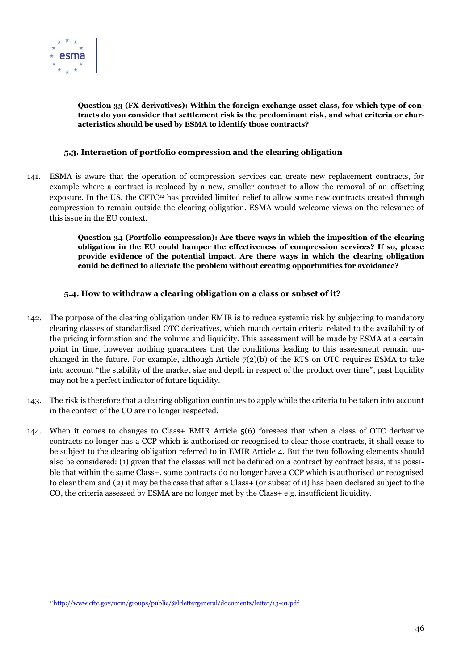

**Question 33 (FX derivatives): Within the foreign exchange asset class, for which type of contracts do you consider that settlement risk is the predominant risk, and what criteria or characteristics should be used by ESMA to identify those contracts?**

#### **5.3. Interaction of portfolio compression and the clearing obligation**

141. ESMA is aware that the operation of compression services can create new replacement contracts, for example where a contract is replaced by a new, smaller contract to allow the removal of an offsetting exposure. In the US, the CFTC<sup>12</sup> has provided limited relief to allow some new contracts created through compression to remain outside the clearing obligation. ESMA would welcome views on the relevance of this issue in the EU context.

> **Question 34 (Portfolio compression): Are there ways in which the imposition of the clearing obligation in the EU could hamper the effectiveness of compression services? If so, please provide evidence of the potential impact. Are there ways in which the clearing obligation could be defined to alleviate the problem without creating opportunities for avoidance?**

#### <span id="page-45-0"></span>**5.4. How to withdraw a clearing obligation on a class or subset of it?**

- 142. The purpose of the clearing obligation under EMIR is to reduce systemic risk by subjecting to mandatory clearing classes of standardised OTC derivatives, which match certain criteria related to the availability of the pricing information and the volume and liquidity. This assessment will be made by ESMA at a certain point in time, however nothing guarantees that the conditions leading to this assessment remain unchanged in the future. For example, although Article  $7(2)(b)$  of the RTS on OTC requires ESMA to take into account "the stability of the market size and depth in respect of the product over time", past liquidity may not be a perfect indicator of future liquidity.
- 143. The risk is therefore that a clearing obligation continues to apply while the criteria to be taken into account in the context of the CO are no longer respected.
- 144. When it comes to changes to Class+ EMIR Article 5(6) foresees that when a class of OTC derivative contracts no longer has a CCP which is authorised or recognised to clear those contracts, it shall cease to be subject to the clearing obligation referred to in EMIR Article 4. But the two following elements should also be considered: (1) given that the classes will not be defined on a contract by contract basis, it is possible that within the same Class+, some contracts do no longer have a CCP which is authorised or recognised to clear them and (2) it may be the case that after a Class+ (or subset of it) has been declared subject to the CO, the criteria assessed by ESMA are no longer met by the Class+ e.g. insufficient liquidity.

 $\overline{a}$ 12<http://www.cftc.gov/ucm/groups/public/@lrlettergeneral/documents/letter/13-01.pdf>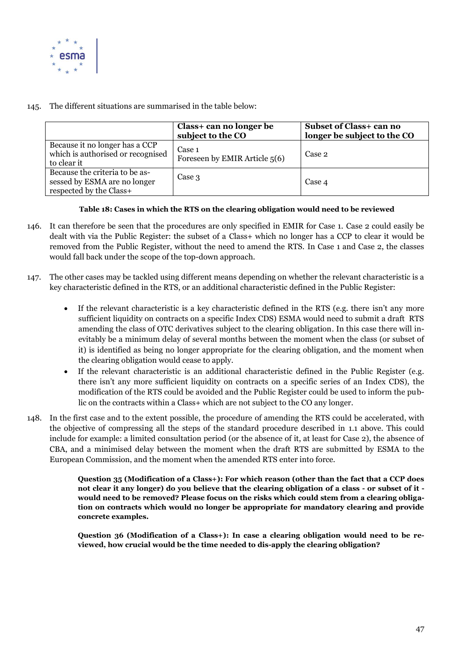

145. The different situations are summarised in the table below:

|                                                                                           | Class+ can no longer be<br>subject to the CO | Subset of Class+ can no<br>longer be subject to the CO |
|-------------------------------------------------------------------------------------------|----------------------------------------------|--------------------------------------------------------|
| Because it no longer has a CCP<br>which is authorised or recognised<br>to clear it        | Case 1<br>Foreseen by EMIR Article $5(6)$    | Case 2                                                 |
| Because the criteria to be as-<br>sessed by ESMA are no longer<br>respected by the Class+ | Case 3                                       | Case 4                                                 |

#### **Table 18: Cases in which the RTS on the clearing obligation would need to be reviewed**

- 146. It can therefore be seen that the procedures are only specified in EMIR for Case 1. Case 2 could easily be dealt with via the Public Register: the subset of a Class+ which no longer has a CCP to clear it would be removed from the Public Register, without the need to amend the RTS. In Case 1 and Case 2, the classes would fall back under the scope of the top-down approach.
- 147. The other cases may be tackled using different means depending on whether the relevant characteristic is a key characteristic defined in the RTS, or an additional characteristic defined in the Public Register:
	- If the relevant characteristic is a key characteristic defined in the RTS (e.g. there isn't any more sufficient liquidity on contracts on a specific Index CDS) ESMA would need to submit a draft RTS amending the class of OTC derivatives subject to the clearing obligation. In this case there will inevitably be a minimum delay of several months between the moment when the class (or subset of it) is identified as being no longer appropriate for the clearing obligation, and the moment when the clearing obligation would cease to apply.
	- If the relevant characteristic is an additional characteristic defined in the Public Register (e.g. there isn't any more sufficient liquidity on contracts on a specific series of an Index CDS), the modification of the RTS could be avoided and the Public Register could be used to inform the public on the contracts within a Class+ which are not subject to the CO any longer.
- 148. In the first case and to the extent possible, the procedure of amending the RTS could be accelerated, with the objective of compressing all the steps of the standard procedure described in [1.1](#page-7-2) [above.](#page-7-2) This could include for example: a limited consultation period (or the absence of it, at least for Case 2), the absence of CBA, and a minimised delay between the moment when the draft RTS are submitted by ESMA to the European Commission, and the moment when the amended RTS enter into force.

**Question 35 (Modification of a Class+): For which reason (other than the fact that a CCP does not clear it any longer) do you believe that the clearing obligation of a class - or subset of it would need to be removed? Please focus on the risks which could stem from a clearing obligation on contracts which would no longer be appropriate for mandatory clearing and provide concrete examples.**

**Question 36 (Modification of a Class+): In case a clearing obligation would need to be reviewed, how crucial would be the time needed to dis-apply the clearing obligation?**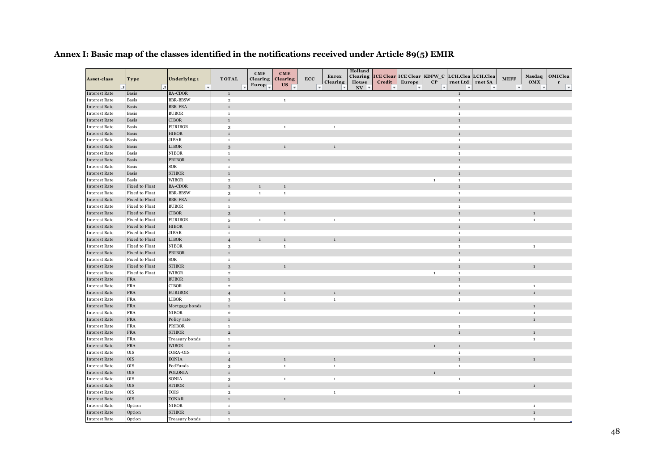#### <span id="page-47-0"></span>**Annex I: Basic map of the classes identified in the notifications received under Article 89(5) EMIR**

| Asset-class                                  | Type                             | Underlying 1                                             | <b>TOTAL</b>              | CME<br>Clearing    | CME<br>Clearing            | ECC | Eurex           | Holland<br>Clearing             | <b>ICE Clear</b> | <b>ICE Clear</b> | KDPW C       | <b>LCH.Clea</b>             | LCH.Clea | <b>MEFF</b> | Nasdaq       | OMIClea           |
|----------------------------------------------|----------------------------------|----------------------------------------------------------|---------------------------|--------------------|----------------------------|-----|-----------------|---------------------------------|------------------|------------------|--------------|-----------------------------|----------|-------------|--------------|-------------------|
|                                              | $\overline{X}$                   | $\overline{ \cdot \ }$                                   |                           | Europ <sub>(</sub> | $\boldsymbol{\mathsf{US}}$ |     | <b>Clearing</b> | House<br>$\mathbf{N}\mathbf{V}$ | Credit           | Europe           | $\bf CP$     | rnet Ltd                    | rnet SA  |             | OMX          | $\mathbf{r}$<br>⋤ |
| <b>Interest Rate</b>                         | Basis                            | <b>BA-CDOR</b>                                           | $\mathbf 1$               |                    |                            |     |                 |                                 |                  |                  |              | $\mathbf 1$                 |          |             |              |                   |
| <b>Interest Rate</b>                         | Basis                            | <b>BBR-BBSW</b>                                          | $\mathbf 2$               |                    | $\,$ 1 $\,$                |     |                 |                                 |                  |                  |              | $\mathbf{1}$                |          |             |              |                   |
| <b>Interest Rate</b>                         | Basis                            | <b>BBR-FRA</b>                                           | $1\,$                     |                    |                            |     |                 |                                 |                  |                  |              | $1\,$                       |          |             |              |                   |
| <b>Interest Rate</b>                         | Basis                            | $\ensuremath{\mathsf{BUBOR}}$                            | <sup>1</sup>              |                    |                            |     |                 |                                 |                  |                  |              | $\mathbf 1$                 |          |             |              |                   |
| <b>Interest Rate</b>                         | Basis                            | $\rm CIBOR$                                              | $\mathbf 1$               |                    |                            |     |                 |                                 |                  |                  |              | $\mathbf 1$                 |          |             |              |                   |
| <b>Interest Rate</b>                         | Basis                            | <b>EURIBOR</b>                                           | $\,$ 3                    |                    | $\mathbf 1$                |     | $\mathbf{1}$    |                                 |                  |                  |              | $\mathbf{1}$                |          |             |              |                   |
| <b>Interest Rate</b>                         | Basis                            | <b>HIBOR</b>                                             | $\mathbf{1}$              |                    |                            |     |                 |                                 |                  |                  |              | $\mathbf{1}$                |          |             |              |                   |
| <b>Interest Rate</b>                         | Basis                            | JIBAR                                                    | $\,$ 1 $\,$               |                    |                            |     |                 |                                 |                  |                  |              | $\mathbf 1$                 |          |             |              |                   |
| Interest Rate                                | Basis                            | <b>LIBOR</b>                                             | $\sqrt{3}$                |                    | $\mathbf{1}$               |     | $\mathbf{1}$    |                                 |                  |                  |              | $\mathbf{1}$                |          |             |              |                   |
| <b>Interest Rate</b>                         | Basis                            | $\rm NI\,BOR$                                            | $\mathbf 1$               |                    |                            |     |                 |                                 |                  |                  |              | $\mathbf 1$                 |          |             |              |                   |
| <b>Interest Rate</b>                         | Basis                            | <b>PRIBOR</b>                                            | $\mathbf{1}$              |                    |                            |     |                 |                                 |                  |                  |              | $\mathbf{1}$                |          |             |              |                   |
| <b>Interest Rate</b>                         | Basis                            | $\operatorname{SOR}$                                     | $\mathbf{1}$              |                    |                            |     |                 |                                 |                  |                  |              | $\mathbf 1$                 |          |             |              |                   |
| <b>Interest Rate</b>                         | Basis                            | <b>STIBOR</b>                                            | $\mathbf 1$               |                    |                            |     |                 |                                 |                  |                  |              | $\mathbf 1$                 |          |             |              |                   |
| <b>Interest Rate</b>                         | Basis                            | <b>WIBOR</b>                                             | $\,2\,$                   |                    |                            |     |                 |                                 |                  |                  | $\mathbf 1$  | $\mathbf 1$                 |          |             |              |                   |
| <b>Interest Rate</b>                         | Fixed to Float                   | $\operatorname{BA-CDOR}$                                 | $\sqrt{3}$                | $\mathbf{1}$       | $\mathbf{1}$               |     |                 |                                 |                  |                  |              | $\mathbf{1}$                |          |             |              |                   |
| <b>Interest Rate</b><br><b>Interest Rate</b> | Fixed to Float<br>Fixed to Float | <b>BBR-BBSW</b>                                          | 3<br>$\mathbf 1$          | $\mathbf 1$        | $\mathbf 1$                |     |                 |                                 |                  |                  |              | $\mathbf 1$                 |          |             |              |                   |
| Interest Rate                                | Fixed to Float                   | $_{\rm BBR\text{-}FRA}$<br>$\ensuremath{\mathsf{BUBOR}}$ | <sup>1</sup>              |                    |                            |     |                 |                                 |                  |                  |              | $\mathbf{1}$<br>$\mathbf 1$ |          |             |              |                   |
| <b>Interest Rate</b>                         | Fixed to Float                   | $\rm CIBOR$                                              |                           |                    | $\mathbf{1}$               |     |                 |                                 |                  |                  |              | $\mathbf{1}$                |          |             | $\mathbf{1}$ |                   |
| <b>Interest Rate</b>                         | Fixed to Float                   | <b>EURIBOR</b>                                           | $\sqrt{3}$<br>$\,$ 5 $\,$ | $\,$ 1 $\,$        | $\mathbf{1}$               |     | $\mathbf{1}$    |                                 |                  |                  |              | $\mathbf{1}$                |          |             | $\mathbf 1$  |                   |
| <b>Interest Rate</b>                         | Fixed to Float                   | <b>HIBOR</b>                                             | $\mathbf{1}$              |                    |                            |     |                 |                                 |                  |                  |              | $\mathbf{1}$                |          |             |              |                   |
| <b>Interest Rate</b>                         | Fixed to Float                   | JIBAR                                                    | $\,$ 1                    |                    |                            |     |                 |                                 |                  |                  |              | $\,$ 1 $\,$                 |          |             |              |                   |
| <b>Interest Rate</b>                         | Fixed to Float                   | <b>LIBOR</b>                                             | $\overline{4}$            | $\mathbf{1}$       | $\mathbf{1}$               |     | $\mathbf{1}$    |                                 |                  |                  |              | $\mathbf{1}$                |          |             |              |                   |
| <b>Interest Rate</b>                         | Fixed to Float                   | <b>NIBOR</b>                                             | 3                         |                    | $\,$ 1                     |     |                 |                                 |                  |                  |              | $\,$ 1 $\,$                 |          |             | $\mathbf 1$  |                   |
| <b>Interest Rate</b>                         | Fixed to Float                   | <b>PRIBOR</b>                                            | $\mathbf{1}$              |                    |                            |     |                 |                                 |                  |                  |              | $\mathbf{1}$                |          |             |              |                   |
| <b>Interest Rate</b>                         | Fixed to Float                   | $\operatorname{SOR}$                                     | $1\,$                     |                    |                            |     |                 |                                 |                  |                  |              | $\mathbf 1$                 |          |             |              |                   |
| Interest Rate                                | Fixed to Float                   | <b>STIBOR</b>                                            | $\sqrt{3}$                |                    | $\,1\,$                    |     |                 |                                 |                  |                  |              | $\mathbf 1$                 |          |             | $\mathbf 1$  |                   |
| <b>Interest Rate</b>                         | Fixed to Float                   | <b>WIBOR</b>                                             | $\,2\,$                   |                    |                            |     |                 |                                 |                  |                  | $\,$ 1 $\,$  | $\mathbf 1$                 |          |             |              |                   |
| <b>Interest Rate</b>                         | <b>FRA</b>                       | <b>BUBOR</b>                                             | $1\,$                     |                    |                            |     |                 |                                 |                  |                  |              | $1\,$                       |          |             |              |                   |
| <b>Interest Rate</b>                         | <b>FRA</b>                       | <b>CIBOR</b>                                             | $\mathbf 2$               |                    |                            |     |                 |                                 |                  |                  |              | $\mathbf{1}$                |          |             | $\mathbf 1$  |                   |
| Interest Rate                                | <b>FRA</b>                       | <b>EURIBOR</b>                                           | $\overline{4}$            |                    | $\mathbf{1}$               |     | $\mathbf{1}$    |                                 |                  |                  |              | $\mathbf 1$                 |          |             | $\mathbf 1$  |                   |
| <b>Interest Rate</b>                         | <b>FRA</b>                       | <b>LIBOR</b>                                             | $\boldsymbol{3}$          |                    | $\,$ 1 $\,$                |     | $\mathbf{1}$    |                                 |                  |                  |              | $\mathbf 1$                 |          |             |              |                   |
| <b>Interest Rate</b>                         | FRA                              | Mortgage bonds                                           | $\mathbf{1}$              |                    |                            |     |                 |                                 |                  |                  |              |                             |          |             | $\mathbf 1$  |                   |
| <b>Interest Rate</b>                         | FRA                              | $\rm NI\,BOR$                                            | $\mathbf 2$               |                    |                            |     |                 |                                 |                  |                  |              | $\mathbf 1$                 |          |             | $\mathbf 1$  |                   |
| <b>Interest Rate</b>                         | <b>FRA</b>                       | Policy rate                                              | $\mathbf{1}$              |                    |                            |     |                 |                                 |                  |                  |              |                             |          |             | $\mathbf 1$  |                   |
| <b>Interest Rate</b>                         | FRA                              | <b>PRIBOR</b>                                            | $\mathbf{1}$              |                    |                            |     |                 |                                 |                  |                  |              | $\mathbf 1$                 |          |             |              |                   |
| <b>Interest Rate</b>                         | <b>FRA</b>                       | $\operatorname{STIBOR}$                                  | $\,2\,$                   |                    |                            |     |                 |                                 |                  |                  |              | $\mathbf{1}$                |          |             | $\mathbf{1}$ |                   |
| <b>Interest Rate</b>                         | <b>FRA</b>                       | Treasury bonds                                           | $\mathbf 1$               |                    |                            |     |                 |                                 |                  |                  |              |                             |          |             | $\mathbf 1$  |                   |
| <b>Interest Rate</b>                         | <b>FRA</b>                       | <b>WIBOR</b>                                             | $\mathbf 2$               |                    |                            |     |                 |                                 |                  |                  | $\mathbf{1}$ | $\mathbf{1}$                |          |             |              |                   |
| <b>Interest Rate</b>                         | <b>OIS</b>                       | CORA-OIS                                                 | <sup>1</sup>              |                    |                            |     |                 |                                 |                  |                  |              | $\mathbf 1$                 |          |             |              |                   |
| <b>Interest Rate</b>                         | $_{\rm OIS}$                     | $\mbox{EONIA}$                                           | $\overline{4}$            |                    | $\mathbf{1}$               |     | $\mathbf{1}$    |                                 |                  |                  |              | $\mathbf{1}$                |          |             |              |                   |
| <b>Interest Rate</b>                         | <b>OIS</b>                       | FedFunds                                                 | 3                         |                    | $\,$ 1 $\,$                |     | $\mathbf 1$     |                                 |                  |                  |              | $\mathbf 1$                 |          |             |              |                   |
| <b>Interest Rate</b>                         | $_{\rm OIS}$                     | <b>POLONIA</b>                                           | $\mathbf 1$               |                    |                            |     |                 |                                 |                  |                  | $\mathbf 1$  |                             |          |             |              |                   |
| Interest Rate                                | <b>OIS</b>                       | <b>SONIA</b>                                             | $\sqrt{3}$                |                    | $\,$ 1 $\,$                |     | $\mathbf 1$     |                                 |                  |                  |              | $\mathbf 1$                 |          |             |              |                   |
| <b>Interest Rate</b>                         | <b>OIS</b>                       | <b>STIBOR</b>                                            | $\mathbf{1}$              |                    |                            |     |                 |                                 |                  |                  |              |                             |          |             | $\mathbf{1}$ |                   |
| <b>Interest Rate</b>                         | OIS                              | <b>TOIS</b>                                              | $\mathbf 2$               |                    |                            |     | $\mathbf{1}$    |                                 |                  |                  |              | $\mathbf{1}$                |          |             |              |                   |
| <b>Interest Rate</b>                         | $_{\rm OIS}$                     | <b>TONAR</b>                                             | $\mathbf{1}$              |                    | $\mathbf{1}$               |     |                 |                                 |                  |                  |              |                             |          |             |              |                   |
| <b>Interest Rate</b>                         | Option                           | <b>NIBOR</b>                                             | $\mathbf 1$               |                    |                            |     |                 |                                 |                  |                  |              |                             |          |             | $\mathbf 1$  |                   |
| <b>Interest Rate</b>                         | Option                           | <b>STIBOR</b>                                            | $\mathbf{1}$              |                    |                            |     |                 |                                 |                  |                  |              |                             |          |             | $\mathbf{1}$ |                   |
| <b>Interest Rate</b>                         | Option                           | Treasury bonds                                           | $\mathbf 1$               |                    |                            |     |                 |                                 |                  |                  |              |                             |          |             | $\mathbf 1$  |                   |